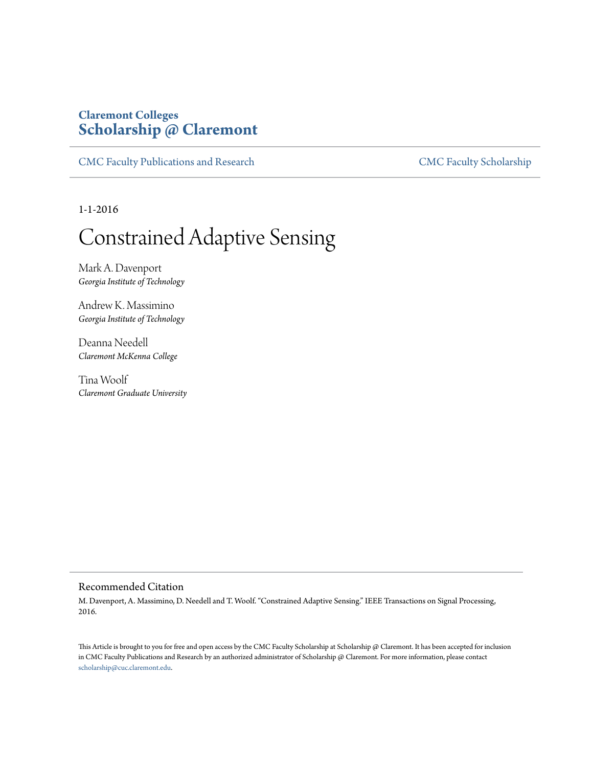# **Claremont Colleges [Scholarship @ Claremont](http://scholarship.claremont.edu)**

[CMC Faculty Publications and Research](http://scholarship.claremont.edu/cmc_fac_pub) [CMC Faculty Scholarship](http://scholarship.claremont.edu/cmc_faculty)

1-1-2016

# Constrained Adaptive Sensing

Mark A. Davenport *Georgia Institute of Technology*

Andrew K. Massimino *Georgia Institute of Technology*

Deanna Needell *Claremont McKenna College*

Tina Woolf *Claremont Graduate University*

#### Recommended Citation

M. Davenport, A. Massimino, D. Needell and T. Woolf. "Constrained Adaptive Sensing." IEEE Transactions on Signal Processing, 2016.

This Article is brought to you for free and open access by the CMC Faculty Scholarship at Scholarship @ Claremont. It has been accepted for inclusion in CMC Faculty Publications and Research by an authorized administrator of Scholarship @ Claremont. For more information, please contact [scholarship@cuc.claremont.edu.](mailto:scholarship@cuc.claremont.edu)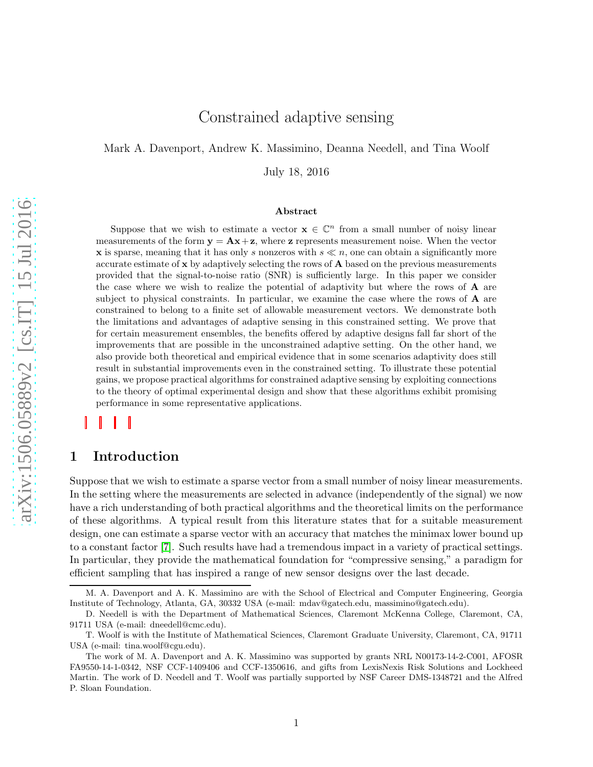## Constrained adaptive sensing

Mark A. Davenport, Andrew K. Massimino, Deanna Needell, and Tina Woolf

July 18, 2016

#### Abstract

Suppose that we wish to estimate a vector  $\mathbf{x} \in \mathbb{C}^n$  from a small number of noisy linear measurements of the form  $y = Ax + z$ , where z represents measurement noise. When the vector **x** is sparse, meaning that it has only s nonzeros with  $s \ll n$ , one can obtain a significantly more accurate estimate of  $x$  by adaptively selecting the rows of  $A$  based on the previous measurements provided that the signal-to-noise ratio (SNR) is sufficiently large. In this paper we consider the case where we wish to realize the potential of adaptivity but where the rows of A are subject to physical constraints. In particular, we examine the case where the rows of A are constrained to belong to a finite set of allowable measurement vectors. We demonstrate both the limitations and advantages of adaptive sensing in this constrained setting. We prove that for certain measurement ensembles, the benefits offered by adaptive designs fall far short of the improvements that are possible in the unconstrained adaptive setting. On the other hand, we also provide both theoretical and empirical evidence that in some scenarios adaptivity does still result in substantial improvements even in the constrained setting. To illustrate these potential gains, we propose practical algorithms for constrained adaptive sensing by exploiting connections to the theory of optimal experimental design and show that these algorithms exhibit promising performance in some representative applications.

## 1 Introduction

Suppose that we wish to estimate a sparse vector from a small number of noisy linear measurements. In the setting where the measurements are selected in advance (independently of the signal) we now have a rich understanding of both practical algorithms and the theoretical limits on the performance of these algorithms. A typical result from this literature states that for a suitable measurement design, one can estimate a sparse vector with an accuracy that matches the minimax lower bound up to a constant factor [\[7\]](#page-22-0). Such results have had a tremendous impact in a variety of practical settings. In particular, they provide the mathematical foundation for "compressive sensing," a paradigm for efficient sampling that has inspired a range of new sensor designs over the last decade.

M. A. Davenport and A. K. Massimino are with the School of Electrical and Computer Engineering, Georgia Institute of Technology, Atlanta, GA, 30332 USA (e-mail: mdav@gatech.edu, massimino@gatech.edu).

D. Needell is with the Department of Mathematical Sciences, Claremont McKenna College, Claremont, CA, 91711 USA (e-mail: dneedell@cmc.edu).

T. Woolf is with the Institute of Mathematical Sciences, Claremont Graduate University, Claremont, CA, 91711 USA (e-mail: tina.woolf@cgu.edu).

The work of M. A. Davenport and A. K. Massimino was supported by grants NRL N00173-14-2-C001, AFOSR FA9550-14-1-0342, NSF CCF-1409406 and CCF-1350616, and gifts from LexisNexis Risk Solutions and Lockheed Martin. The work of D. Needell and T. Woolf was partially supported by NSF Career DMS-1348721 and the Alfred P. Sloan Foundation.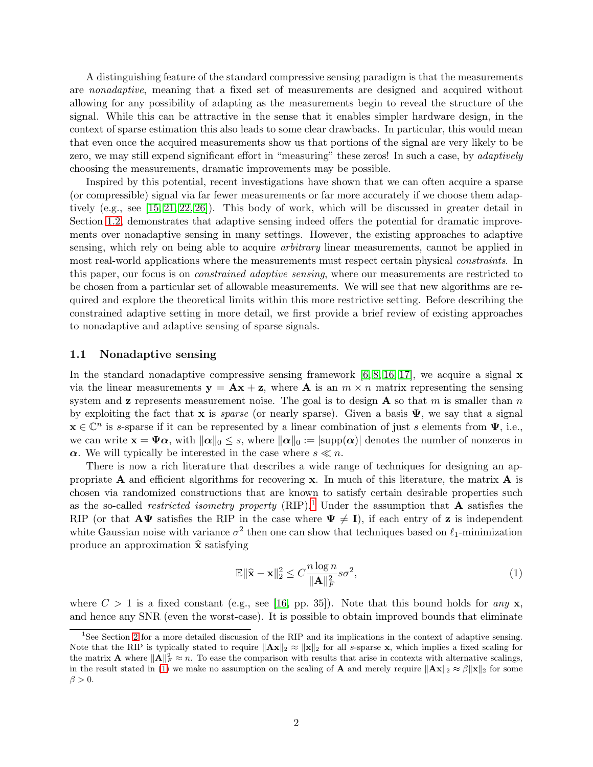A distinguishing feature of the standard compressive sensing paradigm is that the measurements are *nonadaptive*, meaning that a fixed set of measurements are designed and acquired without allowing for any possibility of adapting as the measurements begin to reveal the structure of the signal. While this can be attractive in the sense that it enables simpler hardware design, in the context of sparse estimation this also leads to some clear drawbacks. In particular, this would mean that even once the acquired measurements show us that portions of the signal are very likely to be zero, we may still expend significant effort in "measuring" these zeros! In such a case, by *adaptively* choosing the measurements, dramatic improvements may be possible.

Inspired by this potential, recent investigations have shown that we can often acquire a sparse (or compressible) signal via far fewer measurements or far more accurately if we choose them adaptively (e.g., see [\[15,](#page-22-1) [21,](#page-22-2) [22,](#page-22-3) [26\]](#page-23-0)). This body of work, which will be discussed in greater detail in Section [1.2,](#page-3-0) demonstrates that adaptive sensing indeed offers the potential for dramatic improvements over nonadaptive sensing in many settings. However, the existing approaches to adaptive sensing, which rely on being able to acquire *arbitrary* linear measurements, cannot be applied in most real-world applications where the measurements must respect certain physical *constraints*. In this paper, our focus is on *constrained adaptive sensing*, where our measurements are restricted to be chosen from a particular set of allowable measurements. We will see that new algorithms are required and explore the theoretical limits within this more restrictive setting. Before describing the constrained adaptive setting in more detail, we first provide a brief review of existing approaches to nonadaptive and adaptive sensing of sparse signals.

#### 1.1 Nonadaptive sensing

In the standard nonadaptive compressive sensing framework  $[6, 8, 16, 17]$  $[6, 8, 16, 17]$  $[6, 8, 16, 17]$  $[6, 8, 16, 17]$ , we acquire a signal **x** via the linear measurements  $y = Ax + z$ , where A is an  $m \times n$  matrix representing the sensing system and **z** represents measurement noise. The goal is to design **A** so that m is smaller than n by exploiting the fact that x is *sparse* (or nearly sparse). Given a basis Ψ, we say that a signal  $\mathbf{x} \in \mathbb{C}^n$  is s-sparse if it can be represented by a linear combination of just s elements from  $\Psi$ , i.e., we can write  $\mathbf{x} = \mathbf{\Psi}\boldsymbol{\alpha}$ , with  $\|\boldsymbol{\alpha}\|_0 \leq s$ , where  $\|\boldsymbol{\alpha}\|_0 := |\text{supp}(\boldsymbol{\alpha})|$  denotes the number of nonzeros in  $\alpha$ . We will typically be interested in the case where  $s \ll n$ .

There is now a rich literature that describes a wide range of techniques for designing an appropriate  $A$  and efficient algorithms for recovering  $x$ . In much of this literature, the matrix  $A$  is chosen via randomized constructions that are known to satisfy certain desirable properties such as the so-called *restricted isometry property*  $(RIP)$ .<sup>[1](#page-2-0)</sup> Under the assumption that A satisfies the RIP (or that  $\mathbf{A}\Psi$  satisfies the RIP in the case where  $\Psi \neq \mathbf{I}$ ), if each entry of z is independent white Gaussian noise with variance  $\sigma^2$  then one can show that techniques based on  $\ell_1$ -minimization produce an approximation  $\hat{\mathbf{x}}$  satisfying

<span id="page-2-1"></span>
$$
\mathbb{E}\|\hat{\mathbf{x}} - \mathbf{x}\|_2^2 \le C \frac{n \log n}{\|\mathbf{A}\|_F^2} s \sigma^2,\tag{1}
$$

where  $C > 1$  is a fixed constant (e.g., see [\[16,](#page-22-6) pp. 35]). Note that this bound holds for *any* x, and hence any SNR (even the worst-case). It is possible to obtain improved bounds that eliminate

<span id="page-2-0"></span><sup>&</sup>lt;sup>1</sup>See Section [2](#page-6-0) for a more detailed discussion of the RIP and its implications in the context of adaptive sensing. Note that the RIP is typically stated to require  $||A\mathbf{x}||_2 \approx ||\mathbf{x}||_2$  for all s-sparse x, which implies a fixed scaling for the matrix **A** where  $\|\mathbf{A}\|_F^2 \approx n$ . To ease the comparison with results that arise in contexts with alternative scalings, in the result stated in [\(1\)](#page-2-1) we make no assumption on the scaling of **A** and merely require  $\|\mathbf{Ax}\|_2 \approx \beta \|\mathbf{x}\|_2$  for some  $\beta > 0$ .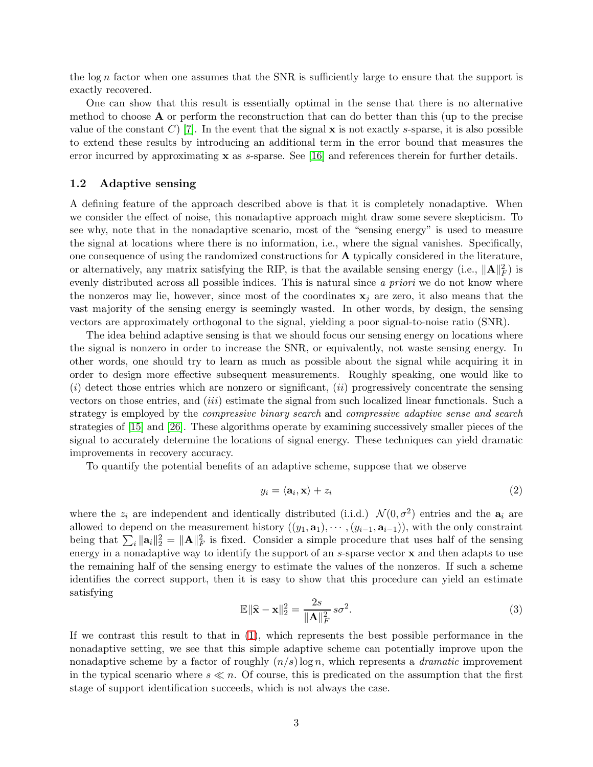the  $\log n$  factor when one assumes that the SNR is sufficiently large to ensure that the support is exactly recovered.

One can show that this result is essentially optimal in the sense that there is no alternative method to choose A or perform the reconstruction that can do better than this (up to the precise value of the constant C) [\[7\]](#page-22-0). In the event that the signal  $x$  is not exactly s-sparse, it is also possible to extend these results by introducing an additional term in the error bound that measures the error incurred by approximating  $\bf{x}$  as s-sparse. See [\[16\]](#page-22-6) and references therein for further details.

#### <span id="page-3-0"></span>1.2 Adaptive sensing

A defining feature of the approach described above is that it is completely nonadaptive. When we consider the effect of noise, this nonadaptive approach might draw some severe skepticism. To see why, note that in the nonadaptive scenario, most of the "sensing energy" is used to measure the signal at locations where there is no information, i.e., where the signal vanishes. Specifically, one consequence of using the randomized constructions for A typically considered in the literature, or alternatively, any matrix satisfying the RIP, is that the available sensing energy (i.e.,  $\|\mathbf{A}\|_F^2$ ) is evenly distributed across all possible indices. This is natural since *a priori* we do not know where the nonzeros may lie, however, since most of the coordinates  $x_i$  are zero, it also means that the vast majority of the sensing energy is seemingly wasted. In other words, by design, the sensing vectors are approximately orthogonal to the signal, yielding a poor signal-to-noise ratio (SNR).

The idea behind adaptive sensing is that we should focus our sensing energy on locations where the signal is nonzero in order to increase the SNR, or equivalently, not waste sensing energy. In other words, one should try to learn as much as possible about the signal while acquiring it in order to design more effective subsequent measurements. Roughly speaking, one would like to  $(i)$  detect those entries which are nonzero or significant,  $(ii)$  progressively concentrate the sensing vectors on those entries, and (iii) estimate the signal from such localized linear functionals. Such a strategy is employed by the *compressive binary search* and *compressive adaptive sense and search* strategies of [\[15\]](#page-22-1) and [\[26\]](#page-23-0). These algorithms operate by examining successively smaller pieces of the signal to accurately determine the locations of signal energy. These techniques can yield dramatic improvements in recovery accuracy.

To quantify the potential benefits of an adaptive scheme, suppose that we observe

<span id="page-3-2"></span>
$$
y_i = \langle \mathbf{a}_i, \mathbf{x} \rangle + z_i \tag{2}
$$

where the  $z_i$  are independent and identically distributed (i.i.d.)  $\mathcal{N}(0, \sigma^2)$  entries and the  $a_i$  are allowed to depend on the measurement history  $((y_1, \mathbf{a}_1), \cdots, (y_{i-1}, \mathbf{a}_{i-1}))$ , with the only constraint being that  $\sum_i ||\mathbf{a}_i||_2^2 = ||\mathbf{A}||_F^2$  is fixed. Consider a simple procedure that uses half of the sensing energy in a nonadaptive way to identify the support of an s-sparse vector **x** and then adapts to use the remaining half of the sensing energy to estimate the values of the nonzeros. If such a scheme identifies the correct support, then it is easy to show that this procedure can yield an estimate satisfying

<span id="page-3-1"></span>
$$
\mathbb{E}\|\hat{\mathbf{x}} - \mathbf{x}\|_2^2 = \frac{2s}{\|\mathbf{A}\|_F^2} s\sigma^2.
$$
 (3)

If we contrast this result to that in [\(1\)](#page-2-1), which represents the best possible performance in the nonadaptive setting, we see that this simple adaptive scheme can potentially improve upon the nonadaptive scheme by a factor of roughly (n/s) log n, which represents a *dramatic* improvement in the typical scenario where  $s \ll n$ . Of course, this is predicated on the assumption that the first stage of support identification succeeds, which is not always the case.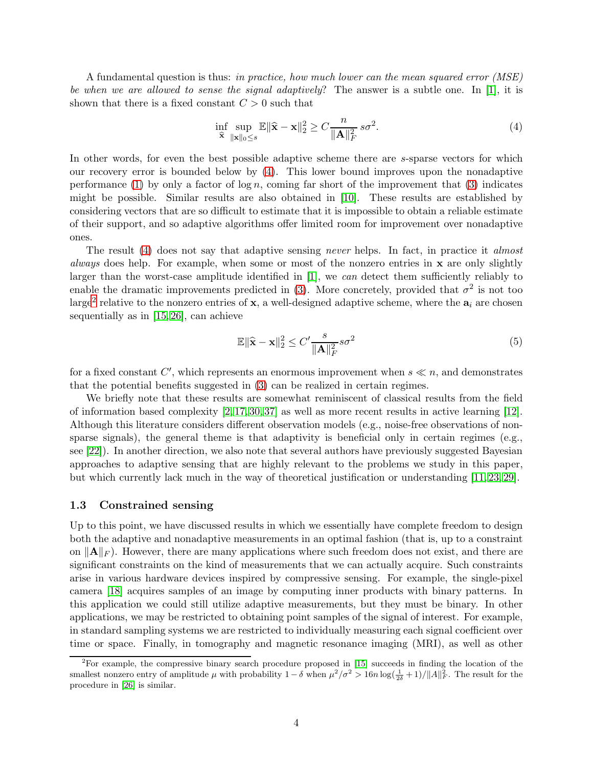A fundamental question is thus: *in practice, how much lower can the mean squared error (MSE) be when we are allowed to sense the signal adaptively*? The answer is a subtle one. In [\[1\]](#page-21-0), it is shown that there is a fixed constant  $C > 0$  such that

<span id="page-4-0"></span>
$$
\inf_{\widehat{\mathbf{x}}} \sup_{\|\mathbf{x}\|_0 \le s} \mathbb{E} \|\widehat{\mathbf{x}} - \mathbf{x}\|_2^2 \ge C \frac{n}{\|\mathbf{A}\|_F^2} s\sigma^2. \tag{4}
$$

In other words, for even the best possible adaptive scheme there are s-sparse vectors for which our recovery error is bounded below by [\(4\)](#page-4-0). This lower bound improves upon the nonadaptive performance [\(1\)](#page-2-1) by only a factor of  $\log n$ , coming far short of the improvement that [\(3\)](#page-3-1) indicates might be possible. Similar results are also obtained in [\[10\]](#page-22-8). These results are established by considering vectors that are so difficult to estimate that it is impossible to obtain a reliable estimate of their support, and so adaptive algorithms offer limited room for improvement over nonadaptive ones.

The result [\(4\)](#page-4-0) does not say that adaptive sensing *never* helps. In fact, in practice it *almost always* does help. For example, when some or most of the nonzero entries in x are only slightly larger than the worst-case amplitude identified in [\[1\]](#page-21-0), we *can* detect them sufficiently reliably to enable the dramatic improvements predicted in [\(3\)](#page-3-1). More concretely, provided that  $\sigma^2$  is not too large<sup>[2](#page-4-1)</sup> relative to the nonzero entries of **x**, a well-designed adaptive scheme, where the  $a_i$  are chosen sequentially as in [\[15,](#page-22-1) [26\]](#page-23-0), can achieve

<span id="page-4-2"></span>
$$
\mathbb{E}\|\hat{\mathbf{x}} - \mathbf{x}\|_2^2 \le C' \frac{s}{\|\mathbf{A}\|_F^2} s\sigma^2
$$
\n(5)

for a fixed constant  $C'$ , which represents an enormous improvement when  $s \ll n$ , and demonstrates that the potential benefits suggested in [\(3\)](#page-3-1) can be realized in certain regimes.

We briefly note that these results are somewhat reminiscent of classical results from the field of information based complexity [\[2,](#page-21-1) [17,](#page-22-7) [30,](#page-23-1) [37\]](#page-23-2) as well as more recent results in active learning [\[12\]](#page-22-9). Although this literature considers different observation models (e.g., noise-free observations of nonsparse signals), the general theme is that adaptivity is beneficial only in certain regimes (e.g., see [\[22\]](#page-22-3)). In another direction, we also note that several authors have previously suggested Bayesian approaches to adaptive sensing that are highly relevant to the problems we study in this paper, but which currently lack much in the way of theoretical justification or understanding [\[11,](#page-22-10) [23,](#page-22-11) [29\]](#page-23-3).

#### 1.3 Constrained sensing

Up to this point, we have discussed results in which we essentially have complete freedom to design both the adaptive and nonadaptive measurements in an optimal fashion (that is, up to a constraint on  $\|\mathbf{A}\|_F$ ). However, there are many applications where such freedom does not exist, and there are significant constraints on the kind of measurements that we can actually acquire. Such constraints arise in various hardware devices inspired by compressive sensing. For example, the single-pixel camera [\[18\]](#page-22-12) acquires samples of an image by computing inner products with binary patterns. In this application we could still utilize adaptive measurements, but they must be binary. In other applications, we may be restricted to obtaining point samples of the signal of interest. For example, in standard sampling systems we are restricted to individually measuring each signal coefficient over time or space. Finally, in tomography and magnetic resonance imaging (MRI), as well as other

<span id="page-4-1"></span> $2^2$ For example, the compressive binary search procedure proposed in [\[15\]](#page-22-1) succeeds in finding the location of the smallest nonzero entry of amplitude  $\mu$  with probability  $1-\delta$  when  $\mu^2/\sigma^2 > 16n \log(\frac{1}{2\delta}+1)/\|A\|_F^2$ . The result for the procedure in [\[26\]](#page-23-0) is similar.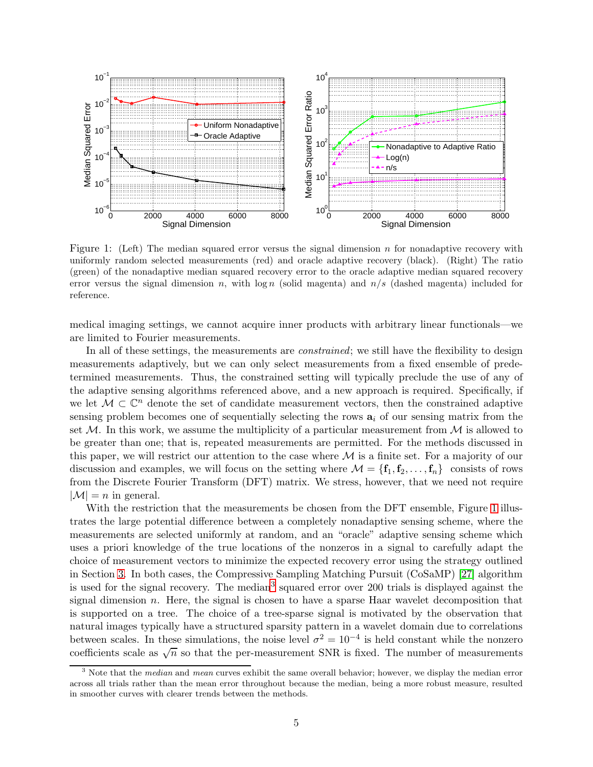

<span id="page-5-0"></span>Figure 1: (Left) The median squared error versus the signal dimension  $n$  for nonadaptive recovery with uniformly random selected measurements (red) and oracle adaptive recovery (black). (Right) The ratio (green) of the nonadaptive median squared recovery error to the oracle adaptive median squared recovery error versus the signal dimension n, with  $\log n$  (solid magenta) and  $n/s$  (dashed magenta) included for reference.

medical imaging settings, we cannot acquire inner products with arbitrary linear functionals—we are limited to Fourier measurements.

In all of these settings, the measurements are *constrained*; we still have the flexibility to design measurements adaptively, but we can only select measurements from a fixed ensemble of predetermined measurements. Thus, the constrained setting will typically preclude the use of any of the adaptive sensing algorithms referenced above, and a new approach is required. Specifically, if we let  $\mathcal{M} \subset \mathbb{C}^n$  denote the set of candidate measurement vectors, then the constrained adaptive sensing problem becomes one of sequentially selecting the rows  $a_i$  of our sensing matrix from the set  $M$ . In this work, we assume the multiplicity of a particular measurement from  $M$  is allowed to be greater than one; that is, repeated measurements are permitted. For the methods discussed in this paper, we will restrict our attention to the case where  $\mathcal M$  is a finite set. For a majority of our discussion and examples, we will focus on the setting where  $\mathcal{M} = \{f_1, f_2, \ldots, f_n\}$  consists of rows from the Discrete Fourier Transform (DFT) matrix. We stress, however, that we need not require  $|\mathcal{M}| = n$  in general.

With the restriction that the measurements be chosen from the DFT ensemble, Figure [1](#page-5-0) illustrates the large potential difference between a completely nonadaptive sensing scheme, where the measurements are selected uniformly at random, and an "oracle" adaptive sensing scheme which uses a priori knowledge of the true locations of the nonzeros in a signal to carefully adapt the choice of measurement vectors to minimize the expected recovery error using the strategy outlined in Section [3.](#page-10-0) In both cases, the Compressive Sampling Matching Pursuit (CoSaMP) [\[27\]](#page-23-4) algorithm is used for the signal recovery. The median<sup>[3](#page-5-1)</sup> squared error over 200 trials is displayed against the signal dimension  $n$ . Here, the signal is chosen to have a sparse Haar wavelet decomposition that is supported on a tree. The choice of a tree-sparse signal is motivated by the observation that natural images typically have a structured sparsity pattern in a wavelet domain due to correlations between scales. In these simulations, the noise level  $\sigma^2 = 10^{-4}$  is held constant while the nonzero coefficients scale as  $\sqrt{n}$  so that the per-measurement SNR is fixed. The number of measurements

<span id="page-5-1"></span><sup>&</sup>lt;sup>3</sup> Note that the *median* and *mean* curves exhibit the same overall behavior; however, we display the median error across all trials rather than the mean error throughout because the median, being a more robust measure, resulted in smoother curves with clearer trends between the methods.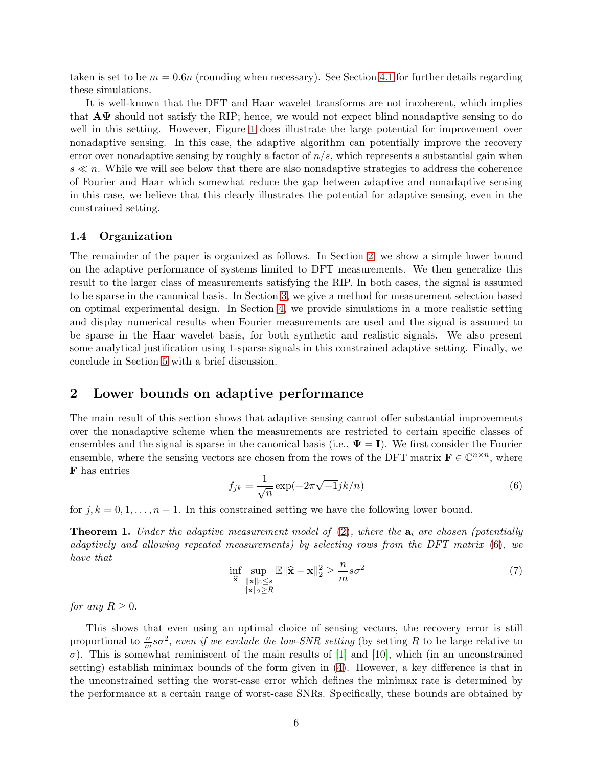taken is set to be  $m = 0.6n$  (rounding when necessary). See Section [4.1](#page-12-0) for further details regarding these simulations.

It is well-known that the DFT and Haar wavelet transforms are not incoherent, which implies that  $\mathbf{A}\Psi$  should not satisfy the RIP; hence, we would not expect blind nonadaptive sensing to do well in this setting. However, Figure [1](#page-5-0) does illustrate the large potential for improvement over nonadaptive sensing. In this case, the adaptive algorithm can potentially improve the recovery error over nonadaptive sensing by roughly a factor of  $n/s$ , which represents a substantial gain when  $s \ll n$ . While we will see below that there are also nonadaptive strategies to address the coherence of Fourier and Haar which somewhat reduce the gap between adaptive and nonadaptive sensing in this case, we believe that this clearly illustrates the potential for adaptive sensing, even in the constrained setting.

#### 1.4 Organization

The remainder of the paper is organized as follows. In Section [2,](#page-6-0) we show a simple lower bound on the adaptive performance of systems limited to DFT measurements. We then generalize this result to the larger class of measurements satisfying the RIP. In both cases, the signal is assumed to be sparse in the canonical basis. In Section [3,](#page-10-0) we give a method for measurement selection based on optimal experimental design. In Section [4,](#page-11-0) we provide simulations in a more realistic setting and display numerical results when Fourier measurements are used and the signal is assumed to be sparse in the Haar wavelet basis, for both synthetic and realistic signals. We also present some analytical justification using 1-sparse signals in this constrained adaptive setting. Finally, we conclude in Section [5](#page-20-0) with a brief discussion.

## <span id="page-6-0"></span>2 Lower bounds on adaptive performance

The main result of this section shows that adaptive sensing cannot offer substantial improvements over the nonadaptive scheme when the measurements are restricted to certain specific classes of ensembles and the signal is sparse in the canonical basis (i.e.,  $\Psi = I$ ). We first consider the Fourier ensemble, where the sensing vectors are chosen from the rows of the DFT matrix  $\mathbf{F} \in \mathbb{C}^{n \times n}$ , where F has entries

<span id="page-6-1"></span>
$$
f_{jk} = \frac{1}{\sqrt{n}} \exp(-2\pi\sqrt{-1}jk/n) \tag{6}
$$

for  $j, k = 0, 1, \ldots, n - 1$ . In this constrained setting we have the following lower bound.

<span id="page-6-3"></span>Theorem 1. *Under the adaptive measurement model of* [\(2\)](#page-3-2)*, where the* a<sup>i</sup> *are chosen (potentially adaptively and allowing repeated measurements) by selecting rows from the DFT matrix* [\(6\)](#page-6-1)*, we have that*

<span id="page-6-2"></span>
$$
\inf_{\widehat{\mathbf{x}}} \sup_{\substack{\|\mathbf{x}\|_0 \le s \\ \|\mathbf{x}\|_2 \ge R}} \mathbb{E} \|\widehat{\mathbf{x}} - \mathbf{x}\|_2^2 \ge \frac{n}{m} s \sigma^2 \tag{7}
$$

*for any*  $R \geq 0$ *.* 

This shows that even using an optimal choice of sensing vectors, the recovery error is still proportional to  $\frac{n}{m} s \sigma^2$ , *even if we exclude the low-SNR setting* (by setting R to be large relative to σ). This is somewhat reminiscent of the main results of [\[1\]](#page-21-0) and [\[10\]](#page-22-8), which (in an unconstrained setting) establish minimax bounds of the form given in [\(4\)](#page-4-0). However, a key difference is that in the unconstrained setting the worst-case error which defines the minimax rate is determined by the performance at a certain range of worst-case SNRs. Specifically, these bounds are obtained by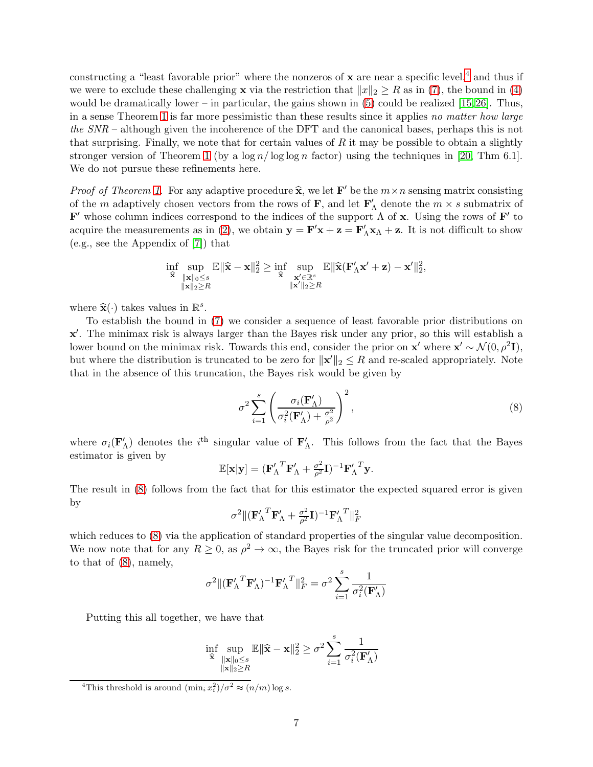constructing a "least favorable prior" where the nonzeros of  $x$  are near a specific level,<sup>[4](#page-7-0)</sup> and thus if we were to exclude these challenging **x** via the restriction that  $||x||_2 \geq R$  as in [\(7\)](#page-6-2), the bound in [\(4\)](#page-4-0) would be dramatically lower – in particular, the gains shown in  $(5)$  could be realized  $[15,26]$  $[15,26]$ . Thus, in a sense Theorem [1](#page-6-3) is far more pessimistic than these results since it applies *no matter how large the SNR* – although given the incoherence of the DFT and the canonical bases, perhaps this is not that surprising. Finally, we note that for certain values of  $R$  it may be possible to obtain a slightly stronger version of Theorem [1](#page-6-3) (by a  $\log n / \log \log n$  factor) using the techniques in [\[20,](#page-22-13) Thm 6.1]. We do not pursue these refinements here.

*Proof of Theorem [1.](#page-6-3)* For any adaptive procedure  $\hat{\mathbf{x}}$ , we let  $\mathbf{F}'$  be the  $m \times n$  sensing matrix consisting of the m adaptively chosen vectors from the rows of  $\mathbf{F}$ , and let  $\mathbf{F}'_{\Lambda}$  denote the  $m \times s$  submatrix of  **whose column indices correspond to the indices of the support**  $\Lambda$  **of <b>x**. Using the rows of  **to** acquire the measurements as in [\(2\)](#page-3-2), we obtain  $y = F'x + z = F'_{\Lambda}x_{\Lambda} + z$ . It is not difficult to show (e.g., see the Appendix of [\[7\]](#page-22-0)) that

$$
\inf_{\widehat{\mathbf{x}}}\sup_{\substack{\|\mathbf{x}\|_0\leq s \\ \|\mathbf{x}\|_2\geq R}}\mathbb{E}\|\widehat{\mathbf{x}}-\mathbf{x}\|_2^2\geq \inf_{\widehat{\mathbf{x}}}\sup_{\substack{\mathbf{x}'\in\mathbb{R}^s \\ \|\mathbf{x}'\|_2\geq R}}\mathbb{E}\|\widehat{\mathbf{x}}(\mathbf{F}_{\Lambda}'\mathbf{x}'+\mathbf{z})-\mathbf{x}'\|_2^2,
$$

where  $\hat{\mathbf{x}}(\cdot)$  takes values in  $\mathbb{R}^s$ .

To establish the bound in [\(7\)](#page-6-2) we consider a sequence of least favorable prior distributions on x ′ . The minimax risk is always larger than the Bayes risk under any prior, so this will establish a lower bound on the minimax risk. Towards this end, consider the prior on  $\mathbf{x}'$  where  $\mathbf{x}' \sim \mathcal{N}(0, \rho^2 \mathbf{I})$ , but where the distribution is truncated to be zero for  $||\mathbf{x}'||_2 \leq R$  and re-scaled appropriately. Note that in the absence of this truncation, the Bayes risk would be given by

<span id="page-7-1"></span>
$$
\sigma^2 \sum_{i=1}^s \left( \frac{\sigma_i(\mathbf{F}'_{\Lambda})}{\sigma_i^2(\mathbf{F}'_{\Lambda}) + \frac{\sigma^2}{\rho^2}} \right)^2, \tag{8}
$$

where  $\sigma_i(\mathbf{F}'_\Lambda)$  denotes the *i*<sup>th</sup> singular value of  $\mathbf{F}'_\Lambda$ . This follows from the fact that the Bayes estimator is given by

$$
\mathbb{E}[\mathbf{x}|\mathbf{y}] = (\mathbf{F}'_{\Lambda}{}^{T} \mathbf{F}'_{\Lambda} + \frac{\sigma^2}{\rho^2} \mathbf{I})^{-1} \mathbf{F}'_{\Lambda}{}^{T} \mathbf{y}.
$$

The result in [\(8\)](#page-7-1) follows from the fact that for this estimator the expected squared error is given by

$$
\sigma^2 \| (\mathbf{F}'_{\Lambda}{}^T\mathbf{F}'_{\Lambda} + \tfrac{\sigma^2}{\rho^2} \mathbf{I})^{-1} \mathbf{F}'_{\Lambda}{}^T \|_F^2
$$

which reduces to  $(8)$  via the application of standard properties of the singular value decomposition. We now note that for any  $R \geq 0$ , as  $\rho^2 \to \infty$ , the Bayes risk for the truncated prior will converge to that of [\(8\)](#page-7-1), namely,

$$
\sigma^2 \| (\mathbf{F}'_{\Lambda}{}^T\mathbf{F}'_{\Lambda})^{-1}\mathbf{F}'_{\Lambda}{}^T \|_F^2 = \sigma^2 \sum_{i=1}^s \frac{1}{\sigma_i^2(\mathbf{F}'_{\Lambda})}
$$

Putting this all together, we have that

$$
\inf_{\widehat{\mathbf{x}}}\sup_{\substack{\|\mathbf{x}\|_0\leq s \\ \|\mathbf{x}\|_2\geq R}}\mathbb{E}\|\widehat{\mathbf{x}}-\mathbf{x}\|_2^2\geq \sigma^2\sum_{i=1}^s\frac{1}{\sigma_i^2(\mathbf{F}_{\Lambda}^\prime)}
$$

<span id="page-7-0"></span><sup>&</sup>lt;sup>4</sup>This threshold is around  $(\min_i x_i^2)/\sigma^2 \approx (n/m) \log s$ .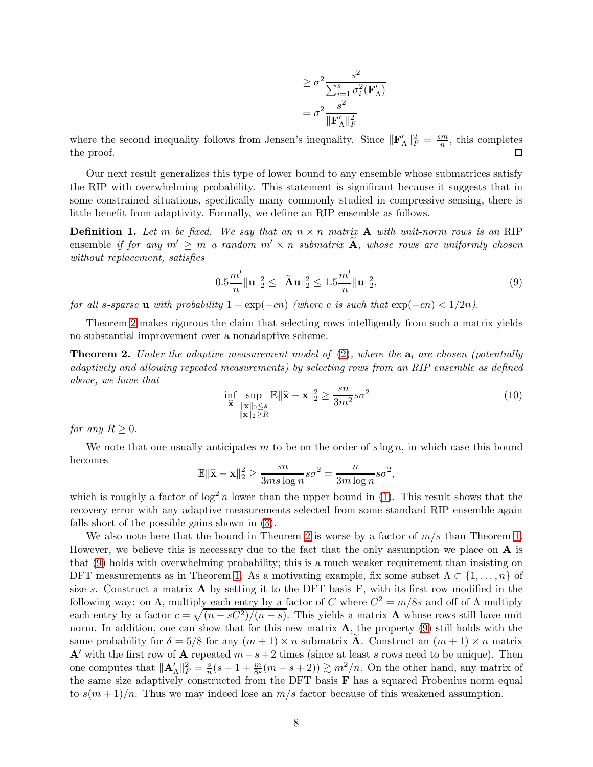$$
\geq \sigma^2 \frac{s^2}{\sum_{i=1}^s \sigma_i^2(\mathbf{F}_{\Lambda}^{\prime})}
$$

$$
= \sigma^2 \frac{s^2}{\|\mathbf{F}_{\Lambda}^{\prime}\|_F^2}
$$

where the second inequality follows from Jensen's inequality. Since  $\|\mathbf{F}_{\Lambda}'\|_F^2 = \frac{sm}{n}$ , this completes the proof.  $\Box$ 

Our next result generalizes this type of lower bound to any ensemble whose submatrices satisfy the RIP with overwhelming probability. This statement is significant because it suggests that in some constrained situations, specifically many commonly studied in compressive sensing, there is little benefit from adaptivity. Formally, we define an RIP ensemble as follows.

**Definition 1.** Let m be fixed. We say that an  $n \times n$  matrix **A** with unit-norm rows is an RIP ensemble *if for any*  $m' \geq m$  *a random*  $m' \times n$  *submatrix* **A**, whose rows are uniformly chosen *without replacement, satisfies*

<span id="page-8-1"></span>
$$
0.5\frac{m'}{n}\|\mathbf{u}\|_{2}^{2} \leq \|\widetilde{\mathbf{A}}\mathbf{u}\|_{2}^{2} \leq 1.5\frac{m'}{n}\|\mathbf{u}\|_{2}^{2},\tag{9}
$$

*for all* s-sparse **u** with probability  $1 - \exp(-cn)$  *(where c* is such that  $\exp(-cn) < 1/2n$ ).

Theorem [2](#page-8-0) makes rigorous the claim that selecting rows intelligently from such a matrix yields no substantial improvement over a nonadaptive scheme.

<span id="page-8-0"></span>Theorem 2. *Under the adaptive measurement model of* [\(2\)](#page-3-2)*, where the* a<sup>i</sup> *are chosen (potentially adaptively and allowing repeated measurements) by selecting rows from an RIP ensemble as defined above, we have that*

$$
\inf_{\widehat{\mathbf{x}}} \sup_{\substack{\|\mathbf{x}\|_0 \le s \\ \|\mathbf{x}\|_2 \ge R}} \mathbb{E} \|\widehat{\mathbf{x}} - \mathbf{x}\|_2^2 \ge \frac{sn}{3m^2} s\sigma^2 \tag{10}
$$

*for any*  $R \geq 0$ *.* 

We note that one usually anticipates m to be on the order of  $s \log n$ , in which case this bound becomes

$$
\mathbb{E}\|\hat{\mathbf{x}}-\mathbf{x}\|_2^2 \ge \frac{sn}{3ms\log n} s\sigma^2 = \frac{n}{3m\log n} s\sigma^2,
$$

which is roughly a factor of  $\log^2 n$  lower than the upper bound in [\(1\)](#page-2-1). This result shows that the recovery error with any adaptive measurements selected from some standard RIP ensemble again falls short of the possible gains shown in [\(3\)](#page-3-1).

We also note here that the bound in Theorem [2](#page-8-0) is worse by a factor of  $m/s$  than Theorem [1.](#page-6-3) However, we believe this is necessary due to the fact that the only assumption we place on  $\bf{A}$  is that [\(9\)](#page-8-1) holds with overwhelming probability; this is a much weaker requirement than insisting on DFT measurements as in Theorem [1.](#page-6-3) As a motivating example, fix some subset  $\Lambda \subset \{1, \ldots, n\}$  of size s. Construct a matrix  $\bf{A}$  by setting it to the DFT basis  $\bf{F}$ , with its first row modified in the following way: on  $\Lambda$ , multiply each entry by a factor of C where  $C^2 = m/8s$  and off of  $\Lambda$  multiply each entry by a factor  $c = \sqrt{(n - sC^2)/(n - s)}$ . This yields a matrix **A** whose rows still have unit norm. In addition, one can show that for this new matrix  $\bf{A}$ , the property [\(9\)](#page-8-1) still holds with the same probability for  $\delta = 5/8$  for any  $(m + 1) \times n$  submatrix **A**. Construct an  $(m + 1) \times n$  matrix A' with the first row of A repeated  $m-s+2$  times (since at least s rows need to be unique). Then one computes that  $\|\mathbf{A}'_{\Lambda}\|_F^2 = \frac{s}{n}$  $\frac{s}{n}(s-1+\frac{m}{8s}(m-s+2)) \gtrsim m^2/n$ . On the other hand, any matrix of the same size adaptively constructed from the DFT basis F has a squared Frobenius norm equal to  $s(m+1)/n$ . Thus we may indeed lose an  $m/s$  factor because of this weakened assumption.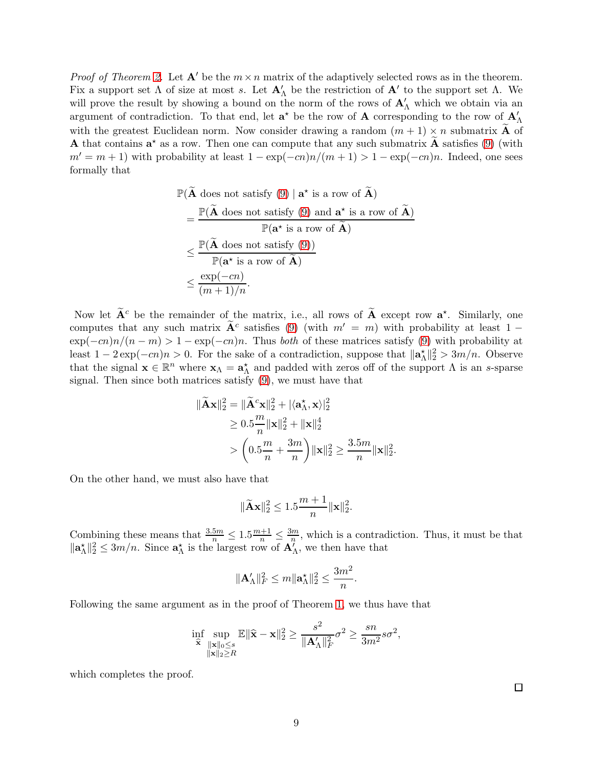*Proof of Theorem [2.](#page-8-0)* Let  $\mathbf{A}'$  be the  $m \times n$  matrix of the adaptively selected rows as in the theorem. Fix a support set  $\Lambda$  of size at most s. Let  $\mathbf{A}'_{\Lambda}$  be the restriction of  $\mathbf{A}'$  to the support set  $\Lambda$ . We will prove the result by showing a bound on the norm of the rows of  $\mathbf{A}'_{\Lambda}$  which we obtain via an argument of contradiction. To that end, let  $\mathbf{a}^{\star}$  be the row of **A** corresponding to the row of  $\mathbf{A}'_{\Lambda}$ with the greatest Euclidean norm. Now consider drawing a random  $(m + 1) \times n$  submatrix **A** of **A** that contains  $\mathbf{a}^*$  as a row. Then one can compute that any such submatrix  $\widetilde{\mathbf{A}}$  satisfies [\(9\)](#page-8-1) (with  $m' = m + 1$ ) with probability at least  $1 - \exp(-cn)n/(m + 1) > 1 - \exp(-cn)n$ . Indeed, one sees formally that

$$
\mathbb{P}(\widetilde{\mathbf{A}} \text{ does not satisfy (9) } | \mathbf{a}^{\star} \text{ is a row of } \widetilde{\mathbf{A}})
$$
\n
$$
= \frac{\mathbb{P}(\widetilde{\mathbf{A}} \text{ does not satisfy (9) and } \mathbf{a}^{\star} \text{ is a row of } \widetilde{\mathbf{A}})}{\mathbb{P}(\mathbf{a}^{\star} \text{ is a row of } \widetilde{\mathbf{A}})}
$$
\n
$$
\leq \frac{\mathbb{P}(\widetilde{\mathbf{A}} \text{ does not satisfy (9))}}{\mathbb{P}(\mathbf{a}^{\star} \text{ is a row of } \widetilde{\mathbf{A}})}
$$
\n
$$
\leq \frac{\exp(-cn)}{(m+1)/n}.
$$

Now let  $\tilde{\mathbf{A}}^c$  be the remainder of the matrix, i.e., all rows of  $\tilde{\mathbf{A}}$  except row  $\mathbf{a}^*$ . Similarly, one computes that any such matrix  $\tilde{A}^c$  satisfies [\(9\)](#page-8-1) (with  $m' = m$ ) with probability at least 1 −  $\exp(-cn)n/(n-m) > 1 - \exp(-cn)n$ . Thus *both* of these matrices satisfy [\(9\)](#page-8-1) with probability at least  $1 - 2\exp(-cn)n > 0$ . For the sake of a contradiction, suppose that  $\|\mathbf{a}_{\Lambda}^{\star}\|_{2}^{2} > 3m/n$ . Observe that the signal  $\mathbf{x} \in \mathbb{R}^n$  where  $\mathbf{x}_\Lambda = \mathbf{a}_\Lambda^*$  and padded with zeros off of the support  $\Lambda$  is an s-sparse signal. Then since both matrices satisfy [\(9\)](#page-8-1), we must have that

$$
\begin{aligned} \|\widetilde{\mathbf{A}}\mathbf{x}\|_2^2 &= \|\widetilde{\mathbf{A}}^c\mathbf{x}\|_2^2 + |\langle \mathbf{a}_\Lambda^\star, \mathbf{x}\rangle|_2^2 \\ &\geq 0.5\frac{m}{n}\|\mathbf{x}\|_2^2 + \|\mathbf{x}\|_2^4 \\ &> \left(0.5\frac{m}{n} + \frac{3m}{n}\right) \|\mathbf{x}\|_2^2 \geq \frac{3.5m}{n}\|\mathbf{x}\|_2^2. \end{aligned}
$$

On the other hand, we must also have that

$$
\|\widetilde{\mathbf{A}}\mathbf{x}\|_2^2 \le 1.5\frac{m+1}{n}\|\mathbf{x}\|_2^2.
$$

Combining these means that  $\frac{3.5m}{n} \leq 1.5 \frac{m+1}{n} \leq \frac{3m}{n}$  $\frac{dm}{n}$ , which is a contradiction. Thus, it must be that  $\|\mathbf{a}_{\Lambda}^{\star}\|_{2}^{2} \leq 3m/n$ . Since  $\mathbf{a}_{\Lambda}^{\star}$  is the largest row of  $\mathbf{A}'_{\Lambda}$ , we then have that

$$
\|\mathbf{A}_{\Lambda}'\|_F^2 \le m \|\mathbf{a}_{\Lambda}^\star\|_2^2 \le \frac{3m^2}{n}.
$$

Following the same argument as in the proof of Theorem [1,](#page-6-3) we thus have that

$$
\inf_{\widehat{\mathbf{x}}} \sup_{\substack{\|\mathbf{x}\|_0 \le s \\ \|\mathbf{x}\|_2 \ge R}} \mathbb{E} \|\widehat{\mathbf{x}} - \mathbf{x}\|_2^2 \ge \frac{s^2}{\|\mathbf{A}_{\Lambda}'\|_F^2} \sigma^2 \ge \frac{sn}{3m^2} s\sigma^2,
$$

which completes the proof.

 $\Box$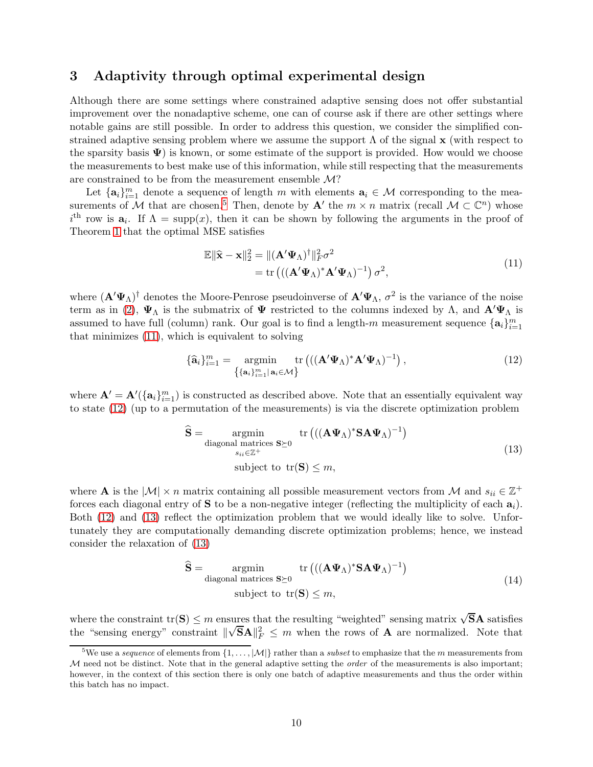## <span id="page-10-0"></span>3 Adaptivity through optimal experimental design

Although there are some settings where constrained adaptive sensing does not offer substantial improvement over the nonadaptive scheme, one can of course ask if there are other settings where notable gains are still possible. In order to address this question, we consider the simplified constrained adaptive sensing problem where we assume the support  $\Lambda$  of the signal  $\mathbf x$  (with respect to the sparsity basis  $\Psi$ ) is known, or some estimate of the support is provided. How would we choose the measurements to best make use of this information, while still respecting that the measurements are constrained to be from the measurement ensemble  $\mathcal{M}$ ?

Let  $\{a_i\}_{i=1}^m$  denote a sequence of length m with elements  $a_i \in \mathcal{M}$  corresponding to the mea-surements of M that are chosen.<sup>[5](#page-10-1)</sup> Then, denote by  $\mathbf{A}'$  the  $m \times n$  matrix (recall  $\mathcal{M} \subset \mathbb{C}^n$ ) whose i<sup>th</sup> row is  $a_i$ . If  $\Lambda = \text{supp}(x)$ , then it can be shown by following the arguments in the proof of Theorem [1](#page-6-3) that the optimal MSE satisfies

$$
\mathbb{E} \|\hat{\mathbf{x}} - \mathbf{x}\|_2^2 = \|(\mathbf{A}' \mathbf{\Psi}_{\Lambda})^\dagger\|_F^2 \sigma^2
$$
  
= tr  $\left( ((\mathbf{A}' \mathbf{\Psi}_{\Lambda})^* \mathbf{A}' \mathbf{\Psi}_{\Lambda})^{-1} \right) \sigma^2$ , (11)

<span id="page-10-2"></span>where  $(\mathbf{A}'\mathbf{\Psi}_{\Lambda})^{\dagger}$  denotes the Moore-Penrose pseudoinverse of  $\mathbf{A}'\mathbf{\Psi}_{\Lambda}$ ,  $\sigma^2$  is the variance of the noise term as in [\(2\)](#page-3-2),  $\Psi_{\Lambda}$  is the submatrix of  $\Psi$  restricted to the columns indexed by  $\Lambda$ , and  $\mathbf{A}'\Psi_{\Lambda}$  is assumed to have full (column) rank. Our goal is to find a length- $m$  measurement sequence  $\{a_i\}_{i=1}^m$ that minimizes [\(11\)](#page-10-2), which is equivalent to solving

<span id="page-10-3"></span>
$$
\{\widehat{\mathbf{a}}_i\}_{i=1}^m = \operatorname*{argmin}_{\{\{\mathbf{a}_i\}_{i=1}^m | \mathbf{a}_i \in \mathcal{M}\}} \operatorname{tr}\left( ((\mathbf{A}'\mathbf{\Psi}_{\Lambda})^* \mathbf{A}' \mathbf{\Psi}_{\Lambda})^{-1} \right),\tag{12}
$$

where  $\mathbf{A}' = \mathbf{A}'(\{\mathbf{a}_i\}_{i=1}^m)$  is constructed as described above. Note that an essentially equivalent way to state [\(12\)](#page-10-3) (up to a permutation of the measurements) is via the discrete optimization problem

$$
\widehat{\mathbf{S}} = \underset{\text{diagonal matrices } \mathbf{S} \succeq 0}{\text{argmin}} \text{tr} \left( ((\mathbf{A} \boldsymbol{\Psi}_{\Lambda})^* \mathbf{S} \mathbf{A} \boldsymbol{\Psi}_{\Lambda})^{-1} \right)
$$
\n
$$
s_{ii} \in \mathbb{Z}^+ \tag{13}
$$
\n
$$
\text{subject to } \text{tr}(\mathbf{S}) \le m,
$$

<span id="page-10-4"></span>where **A** is the  $|M| \times n$  matrix containing all possible measurement vectors from M and  $s_{ii} \in \mathbb{Z}^+$ forces each diagonal entry of **S** to be a non-negative integer (reflecting the multiplicity of each  $a_i$ ). Both [\(12\)](#page-10-3) and [\(13\)](#page-10-4) reflect the optimization problem that we would ideally like to solve. Unfortunately they are computationally demanding discrete optimization problems; hence, we instead consider the relaxation of [\(13\)](#page-10-4)

$$
\hat{\mathbf{S}} = \underset{\text{diagonal matrices } \mathbf{S} \succeq 0}{\text{argmin}} \text{tr} \left( ((\mathbf{A} \boldsymbol{\Psi}_{\Lambda})^* \mathbf{S} \mathbf{A} \boldsymbol{\Psi}_{\Lambda})^{-1} \right) \n\text{subject to } \text{tr}(\mathbf{S}) \le m,
$$
\n(14)

<span id="page-10-5"></span>where the constraint tr(S)  $\leq m$  ensures that the resulting "weighted" sensing matrix  $\sqrt{S}A$  satisfies the "sensing energy" constraint  $\|\sqrt{SA}\|_F^2 \leq m$  when the rows of **A** are normalized. Note that

<span id="page-10-1"></span><sup>&</sup>lt;sup>5</sup>We use a *sequence* of elements from  $\{1,\ldots,\vert\mathcal{M}\vert\}$  rather than a *subset* to emphasize that the m measurements from  $M$  need not be distinct. Note that in the general adaptive setting the *order* of the measurements is also important; however, in the context of this section there is only one batch of adaptive measurements and thus the order within this batch has no impact.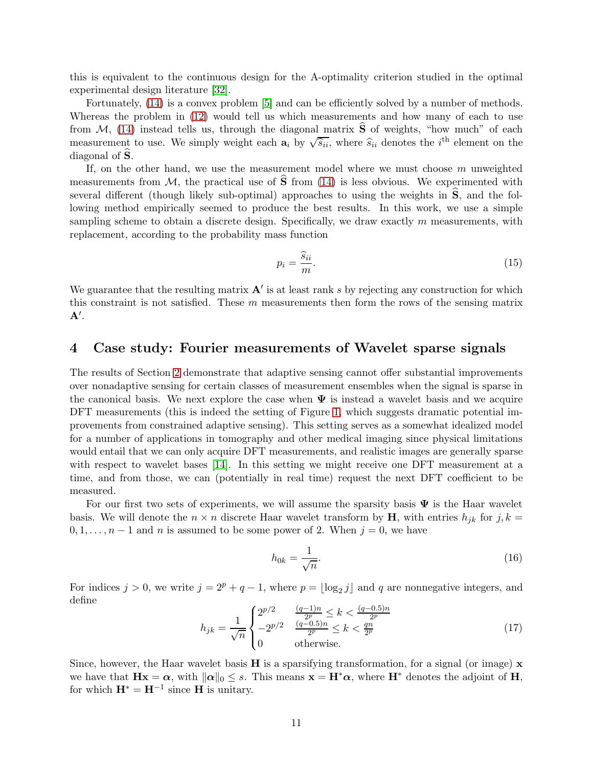this is equivalent to the continuous design for the A-optimality criterion studied in the optimal experimental design literature [\[32\]](#page-23-5).

Fortunately,  $(14)$  is a convex problem [\[5\]](#page-21-2) and can be efficiently solved by a number of methods. Whereas the problem in [\(12\)](#page-10-3) would tell us which measurements and how many of each to use from  $M$ , [\(14\)](#page-10-5) instead tells us, through the diagonal matrix  $\hat{S}$  of weights, "how much" of each measurement to use. We simply weight each  $a_i$  by  $\sqrt{\hat{s}_{ii}}$ , where  $\hat{s}_{ii}$  denotes the  $i^{\text{th}}$  element on the diagonal of  $S$ .

If, on the other hand, we use the measurement model where we must choose m unweighted measurements from  $M$ , the practical use of  $\hat{\mathbf{S}}$  from [\(14\)](#page-10-5) is less obvious. We experimented with several different (though likely sub-optimal) approaches to using the weights in  $S$ , and the following method empirically seemed to produce the best results. In this work, we use a simple sampling scheme to obtain a discrete design. Specifically, we draw exactly  $m$  measurements, with replacement, according to the probability mass function

<span id="page-11-1"></span>
$$
p_i = \frac{\widehat{s}_{ii}}{m}.\tag{15}
$$

We guarantee that the resulting matrix  $A'$  is at least rank s by rejecting any construction for which this constraint is not satisfied. These  $m$  measurements then form the rows of the sensing matrix  ${\bf A}'$ .

### <span id="page-11-0"></span>4 Case study: Fourier measurements of Wavelet sparse signals

The results of Section [2](#page-6-0) demonstrate that adaptive sensing cannot offer substantial improvements over nonadaptive sensing for certain classes of measurement ensembles when the signal is sparse in the canonical basis. We next explore the case when  $\Psi$  is instead a wavelet basis and we acquire DFT measurements (this is indeed the setting of Figure [1,](#page-5-0) which suggests dramatic potential improvements from constrained adaptive sensing). This setting serves as a somewhat idealized model for a number of applications in tomography and other medical imaging since physical limitations would entail that we can only acquire DFT measurements, and realistic images are generally sparse with respect to wavelet bases [\[14\]](#page-22-14). In this setting we might receive one DFT measurement at a time, and from those, we can (potentially in real time) request the next DFT coefficient to be measured.

For our first two sets of experiments, we will assume the sparsity basis  $\Psi$  is the Haar wavelet basis. We will denote the  $n \times n$  discrete Haar wavelet transform by H, with entries  $h_{ik}$  for  $j, k =$  $0, 1, \ldots, n-1$  and n is assumed to be some power of 2. When  $j = 0$ , we have

<span id="page-11-2"></span>
$$
h_{0k} = \frac{1}{\sqrt{n}}.\tag{16}
$$

For indices  $j > 0$ , we write  $j = 2^p + q - 1$ , where  $p = \lfloor \log_2 j \rfloor$  and q are nonnegative integers, and define

<span id="page-11-3"></span>
$$
h_{jk} = \frac{1}{\sqrt{n}} \begin{cases} 2^{p/2} & \frac{(q-1)n}{2^p} \le k < \frac{(q-0.5)n}{2^p} \\ -2^{p/2} & \frac{(q-0.5)n}{2^p} \le k < \frac{qn}{2^p} \\ 0 & \text{otherwise.} \end{cases} \tag{17}
$$

Since, however, the Haar wavelet basis **H** is a sparsifying transformation, for a signal (or image)  $\mathbf x$ we have that  $\mathbf{H}\mathbf{x} = \boldsymbol{\alpha}$ , with  $\|\boldsymbol{\alpha}\|_0 \leq s$ . This means  $\mathbf{x} = \mathbf{H}^*\boldsymbol{\alpha}$ , where  $\mathbf{H}^*$  denotes the adjoint of  $\mathbf{H}$ , for which  $\mathbf{H}^* = \mathbf{H}^{-1}$  since **H** is unitary.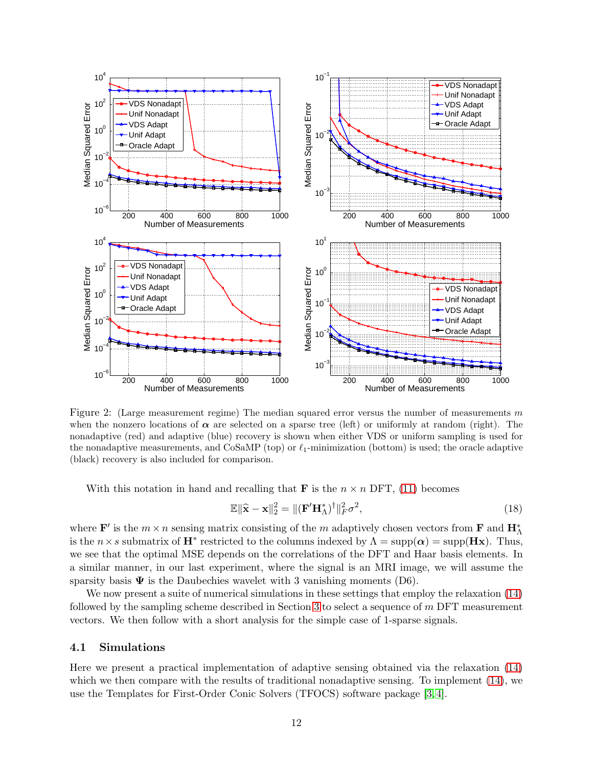

<span id="page-12-1"></span>Figure 2: (Large measurement regime) The median squared error versus the number of measurements m when the nonzero locations of  $\alpha$  are selected on a sparse tree (left) or uniformly at random (right). The nonadaptive (red) and adaptive (blue) recovery is shown when either VDS or uniform sampling is used for the nonadaptive measurements, and CoSaMP (top) or  $\ell_1$ -minimization (bottom) is used; the oracle adaptive (black) recovery is also included for comparison.

With this notation in hand and recalling that **F** is the  $n \times n$  DFT, [\(11\)](#page-10-2) becomes

<span id="page-12-2"></span>
$$
\mathbb{E}\|\hat{\mathbf{x}} - \mathbf{x}\|_2^2 = \|(\mathbf{F}'\mathbf{H}_{\Lambda}^*)^{\dagger}\|_F^2 \sigma^2, \tag{18}
$$

where  $\mathbf{F}'$  is the  $m \times n$  sensing matrix consisting of the m adaptively chosen vectors from  $\mathbf{F}$  and  $\mathbf{H}_{\Lambda}^*$ is the  $n \times s$  submatrix of  $\mathbf{H}^*$  restricted to the columns indexed by  $\Lambda = \text{supp}(\mathbf{\alpha}) = \text{supp}(\mathbf{H}\mathbf{x})$ . Thus, we see that the optimal MSE depends on the correlations of the DFT and Haar basis elements. In a similar manner, in our last experiment, where the signal is an MRI image, we will assume the sparsity basis  $\Psi$  is the Daubechies wavelet with 3 vanishing moments (D6).

We now present a suite of numerical simulations in these settings that employ the relaxation [\(14\)](#page-10-5) followed by the sampling scheme described in Section [3](#page-10-0) to select a sequence of  $m$  DFT measurement vectors. We then follow with a short analysis for the simple case of 1-sparse signals.

#### <span id="page-12-0"></span>4.1 Simulations

Here we present a practical implementation of adaptive sensing obtained via the relaxation [\(14\)](#page-10-5) which we then compare with the results of traditional nonadaptive sensing. To implement [\(14\)](#page-10-5), we use the Templates for First-Order Conic Solvers (TFOCS) software package [\[3,](#page-21-3) [4\]](#page-21-4).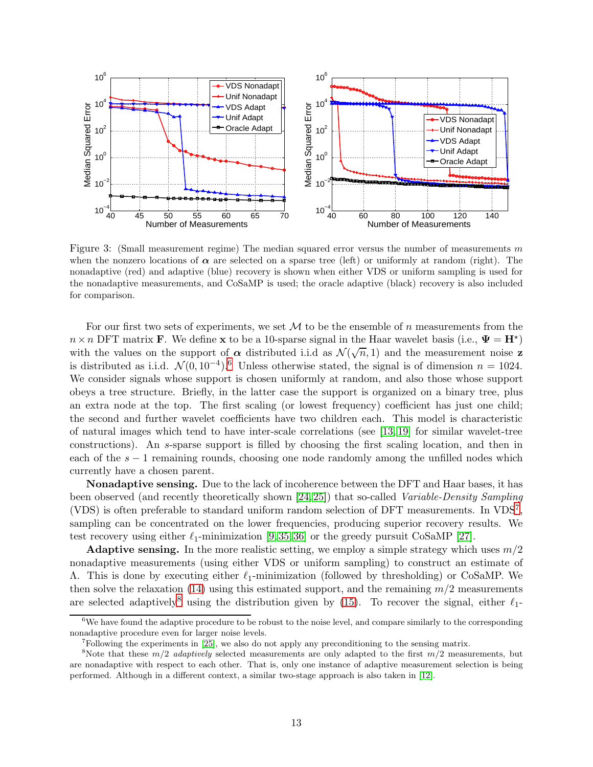

<span id="page-13-3"></span>Figure 3: (Small measurement regime) The median squared error versus the number of measurements m when the nonzero locations of  $\alpha$  are selected on a sparse tree (left) or uniformly at random (right). The nonadaptive (red) and adaptive (blue) recovery is shown when either VDS or uniform sampling is used for the nonadaptive measurements, and CoSaMP is used; the oracle adaptive (black) recovery is also included for comparison.

For our first two sets of experiments, we set  $\mathcal M$  to be the ensemble of n measurements from the  $n \times n$  DFT matrix **F**. We define **x** to be a 10-sparse signal in the Haar wavelet basis (i.e.,  $\Psi = H^*$ ) with the values on the support of  $\alpha$  distributed i.i.d as  $\mathcal{N}(\sqrt{n},1)$  and the measurement noise z is distributed as i.i.d.  $\mathcal{N}(0, 10^{-4})$ .<sup>[6](#page-13-0)</sup> Unless otherwise stated, the signal is of dimension  $n = 1024$ . We consider signals whose support is chosen uniformly at random, and also those whose support obeys a tree structure. Briefly, in the latter case the support is organized on a binary tree, plus an extra node at the top. The first scaling (or lowest frequency) coefficient has just one child; the second and further wavelet coefficients have two children each. This model is characteristic of natural images which tend to have inter-scale correlations (see [\[13,](#page-22-15) [19\]](#page-22-16) for similar wavelet-tree constructions). An s-sparse support is filled by choosing the first scaling location, and then in each of the  $s - 1$  remaining rounds, choosing one node randomly among the unfilled nodes which currently have a chosen parent.

Nonadaptive sensing. Due to the lack of incoherence between the DFT and Haar bases, it has been observed (and recently theoretically shown [\[24,](#page-23-6) [25\]](#page-23-7)) that so-called *Variable-Density Sampling* (VDS) is often preferable to standard uniform random selection of DFT measurements. In VDS[7](#page-13-1) , sampling can be concentrated on the lower frequencies, producing superior recovery results. We test recovery using either  $\ell_1$ -minimization [\[9,](#page-22-17) [35,](#page-23-8) [36\]](#page-23-9) or the greedy pursuit CoSaMP [\[27\]](#page-23-4).

**Adaptive sensing.** In the more realistic setting, we employ a simple strategy which uses  $m/2$ nonadaptive measurements (using either VDS or uniform sampling) to construct an estimate of  $Λ$ . This is done by executing either  $\ell_1$ -minimization (followed by thresholding) or CoSaMP. We then solve the relaxation [\(14\)](#page-10-5) using this estimated support, and the remaining  $m/2$  measurements are selected adaptively<sup>[8](#page-13-2)</sup> using the distribution given by [\(15\)](#page-11-1). To recover the signal, either  $\ell_1$ -

 $6$ We have found the adaptive procedure to be robust to the noise level, and compare similarly to the corresponding nonadaptive procedure even for larger noise levels.

<span id="page-13-1"></span><span id="page-13-0"></span><sup>7</sup>Following the experiments in [\[25\]](#page-23-7), we also do not apply any preconditioning to the sensing matrix.

<span id="page-13-2"></span><sup>&</sup>lt;sup>8</sup>Note that these  $m/2$  adaptively selected measurements are only adapted to the first  $m/2$  measurements, but are nonadaptive with respect to each other. That is, only one instance of adaptive measurement selection is being performed. Although in a different context, a similar two-stage approach is also taken in [\[12\]](#page-22-9).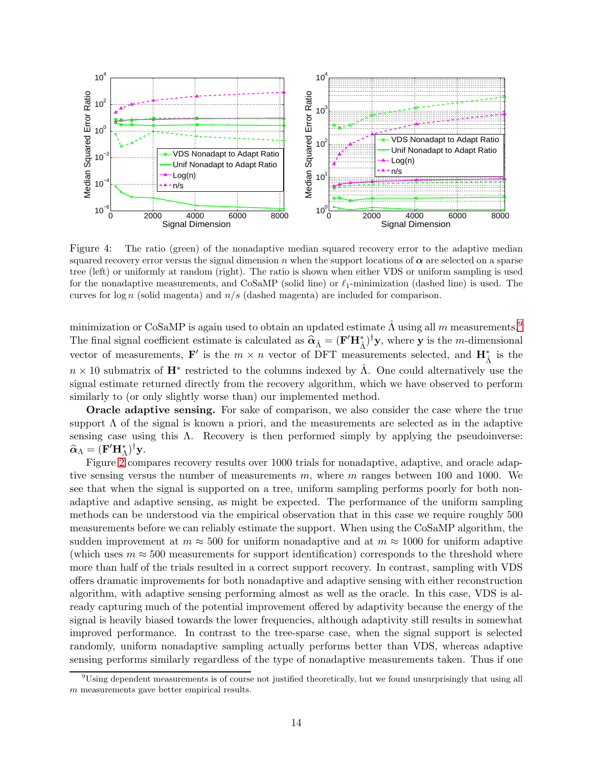

<span id="page-14-1"></span>Figure 4: The ratio (green) of the nonadaptive median squared recovery error to the adaptive median squared recovery error versus the signal dimension n when the support locations of  $\alpha$  are selected on a sparse tree (left) or uniformly at random (right). The ratio is shown when either VDS or uniform sampling is used for the nonadaptive measurements, and  $\text{CoSaMP}$  (solid line) or  $\ell_1$ -minimization (dashed line) is used. The curves for log n (solid magenta) and  $n/s$  (dashed magenta) are included for comparison.

minimization or CoSaMP is again used to obtain an updated estimate  $\hat{\Lambda}$  using all m measurements.<sup>[9](#page-14-0)</sup> The final signal coefficient estimate is calculated as  $\hat{\alpha}_{\hat{\Lambda}} = (\mathbf{F}' \mathbf{H}_{\hat{\Lambda}}^*)^{\dagger} \mathbf{y}$ , where y is the *m*-dimensional vector of measurements, **F'** is the  $m \times n$  vector of DFT measurements selected, and  $\mathbf{H}_{\hat{\Lambda}}^*$  is the  $n \times 10$  submatrix of  $\mathbf{H}^*$  restricted to the columns indexed by  $\hat{\Lambda}$ . One could alternatively use the signal estimate returned directly from the recovery algorithm, which we have observed to perform similarly to (or only slightly worse than) our implemented method.

Oracle adaptive sensing. For sake of comparison, we also consider the case where the true support  $\Lambda$  of the signal is known a priori, and the measurements are selected as in the adaptive sensing case using this  $\Lambda$ . Recovery is then performed simply by applying the pseudoinverse:  $\widehat{\boldsymbol{\alpha}}_{\Lambda} = (\mathbf{F}'\mathbf{H}_{\Lambda}^{*})^{\dagger}\mathbf{y}.$ 

Figure [2](#page-12-1) compares recovery results over 1000 trials for nonadaptive, adaptive, and oracle adaptive sensing versus the number of measurements  $m$ , where  $m$  ranges between 100 and 1000. We see that when the signal is supported on a tree, uniform sampling performs poorly for both nonadaptive and adaptive sensing, as might be expected. The performance of the uniform sampling methods can be understood via the empirical observation that in this case we require roughly 500 measurements before we can reliably estimate the support. When using the CoSaMP algorithm, the sudden improvement at  $m \approx 500$  for uniform nonadaptive and at  $m \approx 1000$  for uniform adaptive (which uses  $m \approx 500$  measurements for support identification) corresponds to the threshold where more than half of the trials resulted in a correct support recovery. In contrast, sampling with VDS offers dramatic improvements for both nonadaptive and adaptive sensing with either reconstruction algorithm, with adaptive sensing performing almost as well as the oracle. In this case, VDS is already capturing much of the potential improvement offered by adaptivity because the energy of the signal is heavily biased towards the lower frequencies, although adaptivity still results in somewhat improved performance. In contrast to the tree-sparse case, when the signal support is selected randomly, uniform nonadaptive sampling actually performs better than VDS, whereas adaptive sensing performs similarly regardless of the type of nonadaptive measurements taken. Thus if one

<span id="page-14-0"></span> $9^9$ Using dependent measurements is of course not justified theoretically, but we found unsurprisingly that using all m measurements gave better empirical results.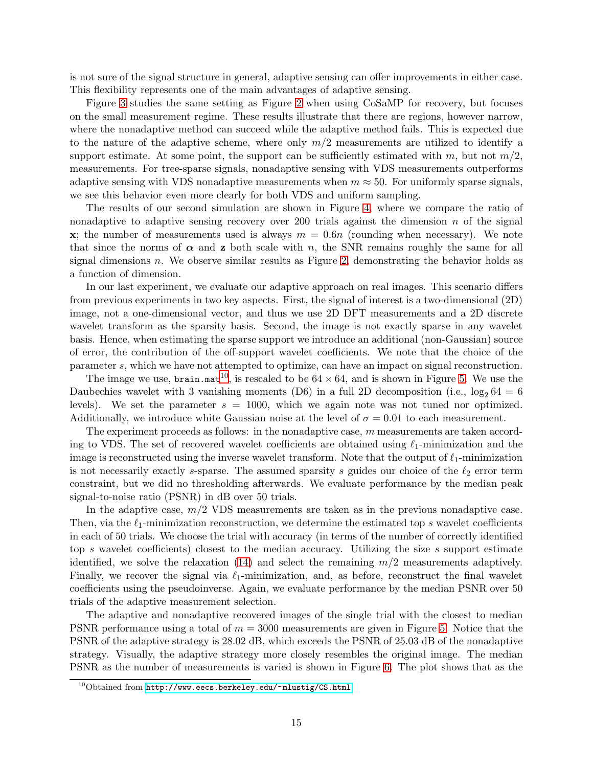is not sure of the signal structure in general, adaptive sensing can offer improvements in either case. This flexibility represents one of the main advantages of adaptive sensing.

Figure [3](#page-13-3) studies the same setting as Figure [2](#page-12-1) when using CoSaMP for recovery, but focuses on the small measurement regime. These results illustrate that there are regions, however narrow, where the nonadaptive method can succeed while the adaptive method fails. This is expected due to the nature of the adaptive scheme, where only  $m/2$  measurements are utilized to identify a support estimate. At some point, the support can be sufficiently estimated with m, but not  $m/2$ , measurements. For tree-sparse signals, nonadaptive sensing with VDS measurements outperforms adaptive sensing with VDS nonadaptive measurements when  $m \approx 50$ . For uniformly sparse signals, we see this behavior even more clearly for both VDS and uniform sampling.

The results of our second simulation are shown in Figure [4,](#page-14-1) where we compare the ratio of nonadaptive to adaptive sensing recovery over 200 trials against the dimension  $n$  of the signal x; the number of measurements used is always  $m = 0.6n$  (rounding when necessary). We note that since the norms of  $\alpha$  and z both scale with n, the SNR remains roughly the same for all signal dimensions  $n$ . We observe similar results as Figure [2,](#page-12-1) demonstrating the behavior holds as a function of dimension.

In our last experiment, we evaluate our adaptive approach on real images. This scenario differs from previous experiments in two key aspects. First, the signal of interest is a two-dimensional (2D) image, not a one-dimensional vector, and thus we use 2D DFT measurements and a 2D discrete wavelet transform as the sparsity basis. Second, the image is not exactly sparse in any wavelet basis. Hence, when estimating the sparse support we introduce an additional (non-Gaussian) source of error, the contribution of the off-support wavelet coefficients. We note that the choice of the parameter s, which we have not attempted to optimize, can have an impact on signal reconstruction.

The image we use, brain.mat<sup>[10](#page-15-0)</sup>, is rescaled to be  $64 \times 64$ , and is shown in Figure [5.](#page-16-0) We use the Daubechies wavelet with 3 vanishing moments (D6) in a full 2D decomposition (i.e.,  $\log_2 64 = 6$ levels). We set the parameter  $s = 1000$ , which we again note was not tuned nor optimized. Additionally, we introduce white Gaussian noise at the level of  $\sigma = 0.01$  to each measurement.

The experiment proceeds as follows: in the nonadaptive case, m measurements are taken according to VDS. The set of recovered wavelet coefficients are obtained using  $\ell_1$ -minimization and the image is reconstructed using the inverse wavelet transform. Note that the output of  $\ell_1$ -minimization is not necessarily exactly s-sparse. The assumed sparsity s guides our choice of the  $\ell_2$  error term constraint, but we did no thresholding afterwards. We evaluate performance by the median peak signal-to-noise ratio (PSNR) in dB over 50 trials.

In the adaptive case,  $m/2$  VDS measurements are taken as in the previous nonadaptive case. Then, via the  $\ell_1$ -minimization reconstruction, we determine the estimated top s wavelet coefficients in each of 50 trials. We choose the trial with accuracy (in terms of the number of correctly identified top s wavelet coefficients) closest to the median accuracy. Utilizing the size s support estimate identified, we solve the relaxation [\(14\)](#page-10-5) and select the remaining  $m/2$  measurements adaptively. Finally, we recover the signal via  $\ell_1$ -minimization, and, as before, reconstruct the final wavelet coefficients using the pseudoinverse. Again, we evaluate performance by the median PSNR over 50 trials of the adaptive measurement selection.

The adaptive and nonadaptive recovered images of the single trial with the closest to median PSNR performance using a total of  $m = 3000$  measurements are given in Figure [5.](#page-16-0) Notice that the PSNR of the adaptive strategy is 28.02 dB, which exceeds the PSNR of 25.03 dB of the nonadaptive strategy. Visually, the adaptive strategy more closely resembles the original image. The median PSNR as the number of measurements is varied is shown in Figure [6.](#page-17-0) The plot shows that as the

<span id="page-15-0"></span><sup>10</sup>Obtained from <http://www.eecs.berkeley.edu/~mlustig/CS.html>.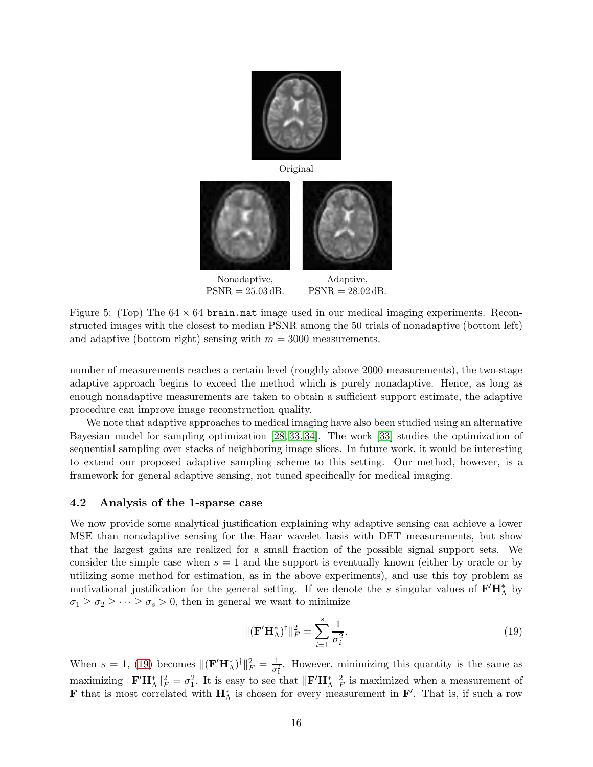

Original



<span id="page-16-0"></span>Figure 5: (Top) The  $64 \times 64$  brain.mat image used in our medical imaging experiments. Reconstructed images with the closest to median PSNR among the 50 trials of nonadaptive (bottom left) and adaptive (bottom right) sensing with  $m = 3000$  measurements.

number of measurements reaches a certain level (roughly above 2000 measurements), the two-stage adaptive approach begins to exceed the method which is purely nonadaptive. Hence, as long as enough nonadaptive measurements are taken to obtain a sufficient support estimate, the adaptive procedure can improve image reconstruction quality.

We note that adaptive approaches to medical imaging have also been studied using an alternative Bayesian model for sampling optimization [\[28,](#page-23-10) [33,](#page-23-11) [34\]](#page-23-12). The work [\[33\]](#page-23-11) studies the optimization of sequential sampling over stacks of neighboring image slices. In future work, it would be interesting to extend our proposed adaptive sampling scheme to this setting. Our method, however, is a framework for general adaptive sensing, not tuned specifically for medical imaging.

#### 4.2 Analysis of the 1-sparse case

We now provide some analytical justification explaining why adaptive sensing can achieve a lower MSE than nonadaptive sensing for the Haar wavelet basis with DFT measurements, but show that the largest gains are realized for a small fraction of the possible signal support sets. We consider the simple case when  $s = 1$  and the support is eventually known (either by oracle or by utilizing some method for estimation, as in the above experiments), and use this toy problem as motivational justification for the general setting. If we denote the s singular values of  $\mathbf{F}'\mathbf{H}_{\Lambda}^*$  by  $\sigma_1 \geq \sigma_2 \geq \cdots \geq \sigma_s > 0$ , then in general we want to minimize

<span id="page-16-1"></span>
$$
\|(\mathbf{F}'\mathbf{H}_{\Lambda}^*)^{\dagger}\|_F^2 = \sum_{i=1}^s \frac{1}{\sigma_i^2}.\tag{19}
$$

When  $s = 1$ , [\(19\)](#page-16-1) becomes  $\Vert (\mathbf{F}'\mathbf{H}_{\Lambda}^*)^{\dagger} \Vert_F^2 = \frac{1}{\sigma_1^2}$  $\frac{1}{\sigma_1^2}$ . However, minimizing this quantity is the same as maximizing  $\|\mathbf{F}'\mathbf{H}_{\Lambda}^*\|_F^2 = \sigma_1^2$ . It is easy to see that  $\|\mathbf{F}'\mathbf{H}_{\Lambda}^*\|_F^2$  is maximized when a measurement of **F** that is most correlated with  $\mathbf{H}_{\Lambda}^{*}$  is chosen for every measurement in  $\mathbf{F}'$ . That is, if such a row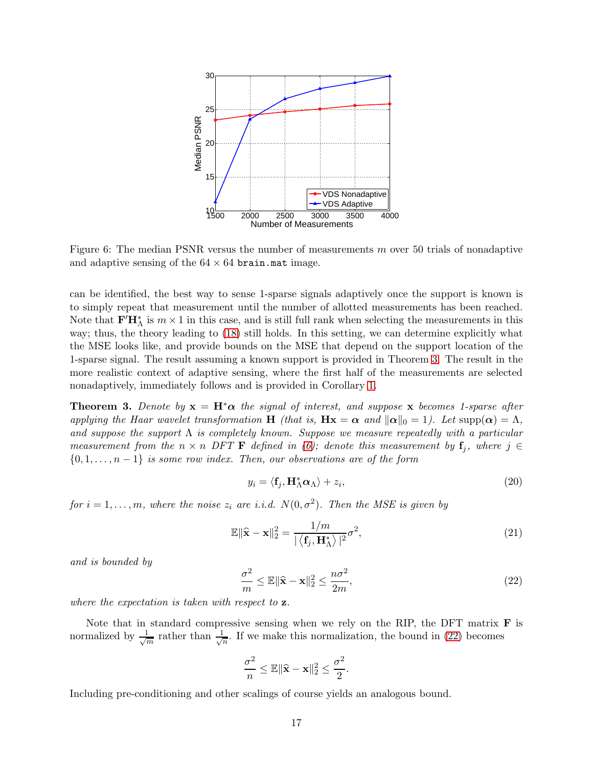

<span id="page-17-0"></span>Figure 6: The median PSNR versus the number of measurements  $m$  over 50 trials of nonadaptive and adaptive sensing of the  $64 \times 64$  brain.mat image.

can be identified, the best way to sense 1-sparse signals adaptively once the support is known is to simply repeat that measurement until the number of allotted measurements has been reached. Note that  $\mathbf{F}'\mathbf{H}_{\Lambda}^*$  is  $m \times 1$  in this case, and is still full rank when selecting the measurements in this way; thus, the theory leading to [\(18\)](#page-12-2) still holds. In this setting, we can determine explicitly what the MSE looks like, and provide bounds on the MSE that depend on the support location of the 1-sparse signal. The result assuming a known support is provided in Theorem [3.](#page-17-1) The result in the more realistic context of adaptive sensing, where the first half of the measurements are selected nonadaptively, immediately follows and is provided in Corollary [1.](#page-20-1)

<span id="page-17-1"></span>**Theorem 3.** Denote by  $x = H^*\alpha$  the signal of interest, and suppose x becomes 1-sparse after *applying the Haar wavelet transformation* **H** *(that is,*  $\mathbf{H}\mathbf{x} = \boldsymbol{\alpha}$  *and*  $\|\boldsymbol{\alpha}\|_0 = 1$ *). Let*  $\text{supp}(\boldsymbol{\alpha}) = \Lambda$ *, and suppose the support* Λ *is completely known. Suppose we measure repeatedly with a particular measurement from the*  $n \times n$  *DFT* **F** *defined in* [\(6\)](#page-6-1); *denote this measurement by*  $f_j$ , *where*  $j \in$  ${0, 1, \ldots, n-1}$  *is some row index. Then, our observations are of the form* 

<span id="page-17-4"></span>
$$
y_i = \langle \mathbf{f}_j, \mathbf{H}_{\Lambda}^* \boldsymbol{\alpha}_{\Lambda} \rangle + z_i, \tag{20}
$$

 $for i = 1, \ldots, m$ , where the noise  $z_i$  are i.i.d.  $N(0, \sigma^2)$ . Then the MSE is given by

<span id="page-17-3"></span>
$$
\mathbb{E}\|\hat{\mathbf{x}} - \mathbf{x}\|_2^2 = \frac{1/m}{|\langle \mathbf{f}_j, \mathbf{H}_\Lambda^* \rangle|^2} \sigma^2,
$$
\n(21)

*and is bounded by*

<span id="page-17-2"></span>
$$
\frac{\sigma^2}{m} \le \mathbb{E} \|\hat{\mathbf{x}} - \mathbf{x}\|_2^2 \le \frac{n\sigma^2}{2m},\tag{22}
$$

*where the expectation is taken with respect to* z*.*

Note that in standard compressive sensing when we rely on the RIP, the DFT matrix  $\bf{F}$  is normalized by  $\frac{1}{\sqrt{2}}$  $\frac{1}{m}$  rather than  $\frac{1}{\sqrt{2}}$  $\frac{1}{n}$ . If we make this normalization, the bound in [\(22\)](#page-17-2) becomes

$$
\frac{\sigma^2}{n} \leq \mathbb{E} \|\widehat{\mathbf{x}} - \mathbf{x}\|_2^2 \leq \frac{\sigma^2}{2}.
$$

Including pre-conditioning and other scalings of course yields an analogous bound.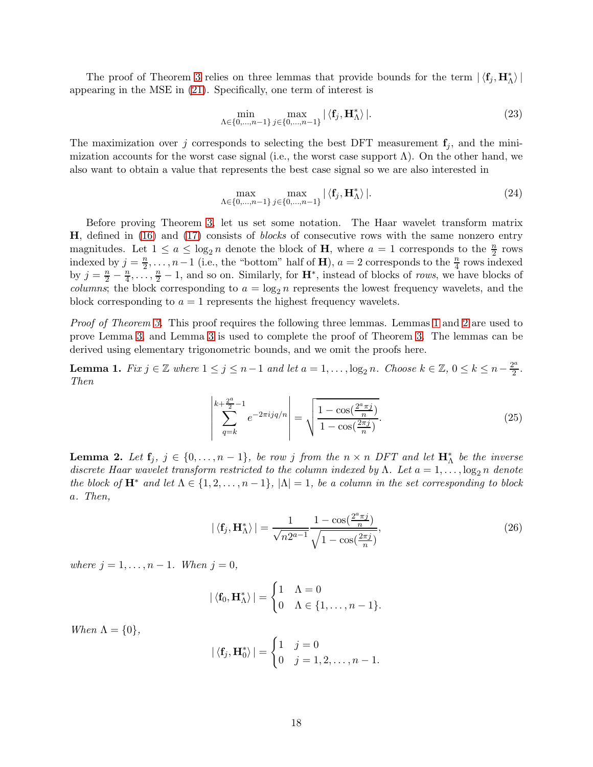The proof of Theorem [3](#page-17-1) relies on three lemmas that provide bounds for the term  $|\langle f_j, H^*_{\Lambda} \rangle|$ appearing in the MSE in [\(21\)](#page-17-3). Specifically, one term of interest is

$$
\min_{\Lambda \in \{0,\ldots,n-1\}} \max_{j\in\{0,\ldots,n-1\}} |\langle \mathbf{f}_j, \mathbf{H}_{\Lambda}^* \rangle|. \tag{23}
$$

The maximization over j corresponds to selecting the best DFT measurement  $f_i$ , and the minimization accounts for the worst case signal (i.e., the worst case support  $\Lambda$ ). On the other hand, we also want to obtain a value that represents the best case signal so we are also interested in

$$
\max_{\Lambda \in \{0,\ldots,n-1\}} \max_{j \in \{0,\ldots,n-1\}} |\langle \mathbf{f}_j, \mathbf{H}_{\Lambda}^* \rangle|. \tag{24}
$$

Before proving Theorem [3,](#page-17-1) let us set some notation. The Haar wavelet transform matrix H, defined in [\(16\)](#page-11-2) and [\(17\)](#page-11-3) consists of *blocks* of consecutive rows with the same nonzero entry magnitudes. Let  $1 \le a \le \log_2 n$  denote the block of **H**, where  $a = 1$  corresponds to the  $\frac{n}{2}$  rows indexed by  $j = \frac{n}{2}$  $\frac{n}{2}, \ldots, n-1$  (i.e., the "bottom" half of **H**),  $a = 2$  corresponds to the  $\frac{n}{4}$  rows indexed by  $j = \frac{n}{2} - \frac{n}{4}$  $\frac{n}{4}, \ldots, \frac{n}{2} - 1$ , and so on. Similarly, for  $\mathbf{H}^*$ , instead of blocks of *rows*, we have blocks of *columns*; the block corresponding to  $a = \log_2 n$  represents the lowest frequency wavelets, and the block corresponding to  $a = 1$  represents the highest frequency wavelets.

*Proof of Theorem [3.](#page-17-1)* This proof requires the following three lemmas. Lemmas [1](#page-18-0) and [2](#page-18-1) are used to prove Lemma [3,](#page-19-0) and Lemma [3](#page-19-0) is used to complete the proof of Theorem [3.](#page-17-1) The lemmas can be derived using elementary trigonometric bounds, and we omit the proofs here.

<span id="page-18-0"></span>**Lemma 1.** *Fix*  $j \in \mathbb{Z}$  *where*  $1 \leq j \leq n-1$  *and let*  $a = 1, \ldots, \log_2 n$ *. Choose*  $k \in \mathbb{Z}$ ,  $0 \leq k \leq n-\frac{2^a}{2}$  $\frac{2^{a}}{2}$ . *Then*

$$
\left| \sum_{q=k}^{k+\frac{2^a}{2}-1} e^{-2\pi i j q/n} \right| = \sqrt{\frac{1 - \cos(\frac{2^a \pi j}{n})}{1 - \cos(\frac{2\pi j}{n})}}.
$$
\n(25)

<span id="page-18-1"></span>**Lemma 2.** Let  $f_j$ ,  $j \in \{0, \ldots, n-1\}$ , be row j from the  $n \times n$  DFT and let  $H_{\Lambda}^*$  be the inverse *discrete Haar wavelet transform restricted to the column indexed by*  $\Lambda$ . Let  $a = 1, \ldots, \log_2 n$  *denote the block of*  $\mathbf{H}^*$  *and let*  $\Lambda \in \{1, 2, ..., n-1\}$ ,  $|\Lambda| = 1$ , be a column in the set corresponding to block a*. Then,*

$$
|\langle \mathbf{f}_j, \mathbf{H}_{\Lambda}^* \rangle| = \frac{1}{\sqrt{n2^{a-1}}} \frac{1 - \cos(\frac{2^n \pi j}{n})}{\sqrt{1 - \cos(\frac{2 \pi j}{n})}},\tag{26}
$$

 $where j = 1, ..., n - 1$ *. When*  $j = 0$ *,* 

$$
|\langle \mathbf{f}_0, \mathbf{H}_{\Lambda}^* \rangle|
$$
 =  $\begin{cases} 1 & \Lambda = 0 \\ 0 & \Lambda \in \{1, ..., n-1\}. \end{cases}$ 

*When*  $\Lambda = \{0\},\$ 

$$
|\langle \mathbf{f}_j, \mathbf{H}_0^* \rangle| = \begin{cases} 1 & j = 0 \\ 0 & j = 1, 2, \dots, n - 1. \end{cases}
$$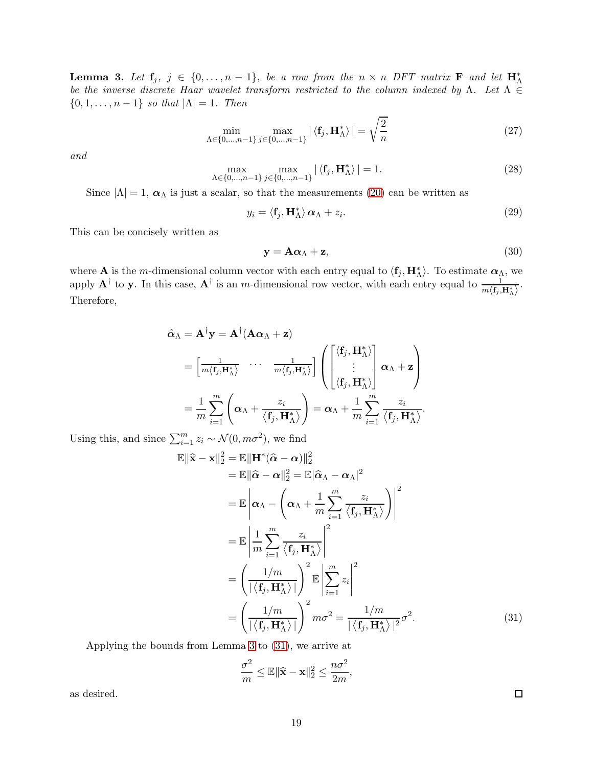<span id="page-19-0"></span>**Lemma 3.** Let  $f_j$ ,  $j \in \{0, \ldots, n-1\}$ , be a row from the  $n \times n$  DFT matrix **F** and let  $H^*_{\Lambda}$ *be the inverse discrete Haar wavelet transform restricted to the column indexed by* Λ*. Let* Λ ∈  $\{0, 1, \ldots, n-1\}$  *so that*  $|\Lambda| = 1$ *. Then* 

<span id="page-19-2"></span>
$$
\min_{\Lambda \in \{0,\dots,n-1\}} \max_{j \in \{0,\dots,n-1\}} |\langle \mathbf{f}_j, \mathbf{H}_{\Lambda}^* \rangle| = \sqrt{\frac{2}{n}} \tag{27}
$$

*and*

<span id="page-19-3"></span>
$$
\max_{\Lambda \in \{0,\ldots,n-1\}} \max_{j\in\{0,\ldots,n-1\}} |\langle \mathbf{f}_j, \mathbf{H}_{\Lambda}^* \rangle| = 1.
$$
 (28)

Since  $|\Lambda| = 1$ ,  $\alpha_{\Lambda}$  is just a scalar, so that the measurements [\(20\)](#page-17-4) can be written as

$$
y_i = \langle \mathbf{f}_j, \mathbf{H}_{\Lambda}^* \rangle \, \boldsymbol{\alpha}_{\Lambda} + z_i. \tag{29}
$$

This can be concisely written as

$$
y = A\alpha_{\Lambda} + z,\tag{30}
$$

where **A** is the m-dimensional column vector with each entry equal to  $\langle f_j, H_{\Lambda}^* \rangle$ . To estimate  $\alpha_{\Lambda}$ , we apply  $\mathbf{A}^{\dagger}$  to y. In this case,  $\mathbf{A}^{\dagger}$  is an *m*-dimensional row vector, with each entry equal to  $\frac{1}{m\langle \mathbf{f}_j, \mathbf{H}_{\Lambda}^* \rangle}$ . Therefore,

$$
\hat{\alpha}_{\Lambda} = \mathbf{A}^{\dagger} \mathbf{y} = \mathbf{A}^{\dagger} (\mathbf{A} \alpha_{\Lambda} + \mathbf{z})
$$
\n
$$
= \left[ \frac{1}{m \langle \mathbf{f}_j, \mathbf{H}_{\Lambda}^* \rangle} \cdots \frac{1}{m \langle \mathbf{f}_j, \mathbf{H}_{\Lambda}^* \rangle} \right] \left( \begin{bmatrix} \langle \mathbf{f}_j, \mathbf{H}_{\Lambda}^* \rangle \\ \vdots \\ \langle \mathbf{f}_j, \mathbf{H}_{\Lambda}^* \rangle \end{bmatrix} \alpha_{\Lambda} + \mathbf{z} \right)
$$
\n
$$
= \frac{1}{m} \sum_{i=1}^m \left( \alpha_{\Lambda} + \frac{z_i}{\langle \mathbf{f}_j, \mathbf{H}_{\Lambda}^* \rangle} \right) = \alpha_{\Lambda} + \frac{1}{m} \sum_{i=1}^m \frac{z_i}{\langle \mathbf{f}_j, \mathbf{H}_{\Lambda}^* \rangle}.
$$

Using this, and since  $\sum_{i=1}^{m} z_i \sim \mathcal{N}(0, m\sigma^2)$ , we find

$$
\mathbb{E} \|\hat{\mathbf{x}} - \mathbf{x}\|_{2}^{2} = \mathbb{E} \|\mathbf{H}^{*}(\hat{\alpha} - \alpha)\|_{2}^{2}
$$
\n
$$
= \mathbb{E} \|\hat{\alpha} - \alpha\|_{2}^{2} = \mathbb{E} |\hat{\alpha}_{\Lambda} - \alpha_{\Lambda}|^{2}
$$
\n
$$
= \mathbb{E} \left| \alpha_{\Lambda} - \left( \alpha_{\Lambda} + \frac{1}{m} \sum_{i=1}^{m} \frac{z_{i}}{\langle \mathbf{f}_{j}, \mathbf{H}^{*}_{\Lambda} \rangle} \right) \right|^{2}
$$
\n
$$
= \mathbb{E} \left| \frac{1}{m} \sum_{i=1}^{m} \frac{z_{i}}{\langle \mathbf{f}_{j}, \mathbf{H}^{*}_{\Lambda} \rangle} \right|^{2}
$$
\n
$$
= \left( \frac{1/m}{|\langle \mathbf{f}_{j}, \mathbf{H}^{*}_{\Lambda} \rangle|} \right)^{2} \mathbb{E} \left| \sum_{i=1}^{m} z_{i} \right|^{2}
$$
\n
$$
= \left( \frac{1/m}{|\langle \mathbf{f}_{j}, \mathbf{H}^{*}_{\Lambda} \rangle|} \right)^{2} m \sigma^{2} = \frac{1/m}{|\langle \mathbf{f}_{j}, \mathbf{H}^{*}_{\Lambda} \rangle|^{2}} \sigma^{2}.
$$
\n(31)

Applying the bounds from Lemma [3](#page-19-0) to [\(31\)](#page-19-1), we arrive at

$$
\frac{\sigma^2}{m} \leq \mathbb{E} \|\widehat{\mathbf{x}} - \mathbf{x}\|_2^2 \leq \frac{n\sigma^2}{2m},
$$

as desired.

<span id="page-19-1"></span> $\Box$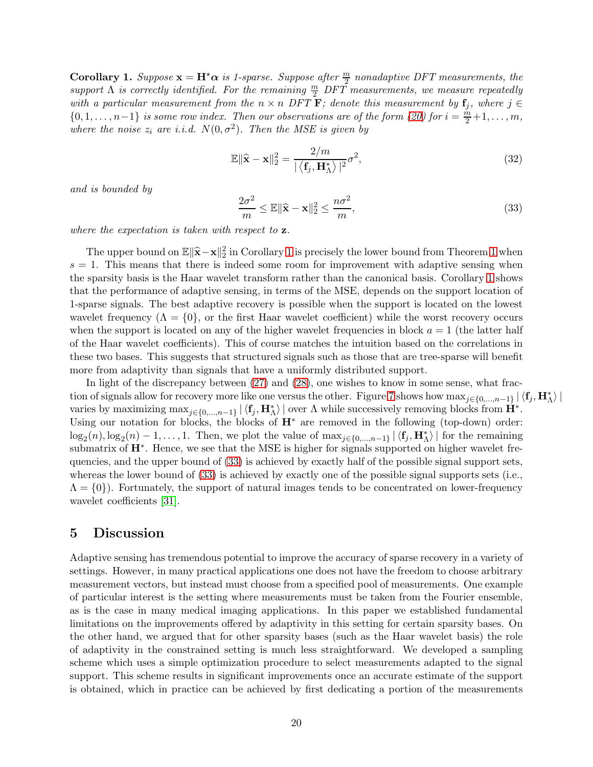<span id="page-20-1"></span>**Corollary 1.** *Suppose*  $\mathbf{x} = \mathbf{H}^* \alpha$  *is 1-sparse. Suppose after*  $\frac{m}{2}$  *nonadaptive DFT* measurements, the  $support \Lambda$  *is correctly identified. For the remaining*  $\frac{m}{2}$  *DFT* measurements, we measure repeatedly *with a particular measurement from the*  $n \times n$  *DFT* **F**; denote this measurement by  $f_i$ , where  $j \in$  $\{0, 1, \ldots, n-1\}$  *is some row index. Then our observations are of the form [\(20\)](#page-17-4)* for  $i = \frac{m}{2} + 1, \ldots, m$ , where the noise  $z_i$  are i.i.d.  $N(0, \sigma^2)$ . Then the MSE is given by

$$
\mathbb{E}\|\hat{\mathbf{x}} - \mathbf{x}\|_2^2 = \frac{2/m}{|\langle \mathbf{f}_j, \mathbf{H}_\Lambda^* \rangle|^2} \sigma^2,
$$
\n(32)

*and is bounded by*

<span id="page-20-2"></span>
$$
\frac{2\sigma^2}{m} \le \mathbb{E} \|\hat{\mathbf{x}} - \mathbf{x}\|_2^2 \le \frac{n\sigma^2}{m},\tag{33}
$$

*where the expectation is taken with respect to* z*.*

The upper bound on  $\mathbb{E} \|\hat{\mathbf{x}} - \mathbf{x}\|_2^2$  in Corollary [1](#page-6-3) is precisely the lower bound from Theorem 1 when  $s = 1$ . This means that there is indeed some room for improvement with adaptive sensing when the sparsity basis is the Haar wavelet transform rather than the canonical basis. Corollary [1](#page-20-1) shows that the performance of adaptive sensing, in terms of the MSE, depends on the support location of 1-sparse signals. The best adaptive recovery is possible when the support is located on the lowest wavelet frequency  $(\Lambda = \{0\})$ , or the first Haar wavelet coefficient) while the worst recovery occurs when the support is located on any of the higher wavelet frequencies in block  $a = 1$  (the latter half of the Haar wavelet coefficients). This of course matches the intuition based on the correlations in these two bases. This suggests that structured signals such as those that are tree-sparse will benefit more from adaptivity than signals that have a uniformly distributed support.

In light of the discrepancy between [\(27\)](#page-19-2) and [\(28\)](#page-19-3), one wishes to know in some sense, what frac-tion of signals allow for recovery more like one versus the other. Figure [7](#page-21-5) shows how  $\max_{j\in\{0,\dots,n-1\}}|\langle f_j, H_\Lambda^*\rangle|$ varies by maximizing  $\max_{j \in \{0, ..., n-1\}} |\langle \mathbf{f}_j, \mathbf{H}_{\Lambda}^* \rangle|$  over  $\Lambda$  while successively removing blocks from  $\mathbf{H}^*$ . Using our notation for blocks, the blocks of  $\mathbf{H}^*$  are removed in the following (top-down) order:  $\log_2(n), \log_2(n) - 1, \ldots, 1$ . Then, we plot the value of  $\max_{j \in \{0, \ldots, n-1\}} |\langle \mathbf{f}_j, \mathbf{H}_{\Lambda}^* \rangle|$  for the remaining submatrix of  $\mathbf{H}^*$ . Hence, we see that the MSE is higher for signals supported on higher wavelet frequencies, and the upper bound of [\(33\)](#page-20-2) is achieved by exactly half of the possible signal support sets, whereas the lower bound of [\(33\)](#page-20-2) is achieved by exactly one of the possible signal supports sets (i.e.,  $\Lambda = \{0\}$ . Fortunately, the support of natural images tends to be concentrated on lower-frequency wavelet coefficients [\[31\]](#page-23-13).

## <span id="page-20-0"></span>5 Discussion

Adaptive sensing has tremendous potential to improve the accuracy of sparse recovery in a variety of settings. However, in many practical applications one does not have the freedom to choose arbitrary measurement vectors, but instead must choose from a specified pool of measurements. One example of particular interest is the setting where measurements must be taken from the Fourier ensemble, as is the case in many medical imaging applications. In this paper we established fundamental limitations on the improvements offered by adaptivity in this setting for certain sparsity bases. On the other hand, we argued that for other sparsity bases (such as the Haar wavelet basis) the role of adaptivity in the constrained setting is much less straightforward. We developed a sampling scheme which uses a simple optimization procedure to select measurements adapted to the signal support. This scheme results in significant improvements once an accurate estimate of the support is obtained, which in practice can be achieved by first dedicating a portion of the measurements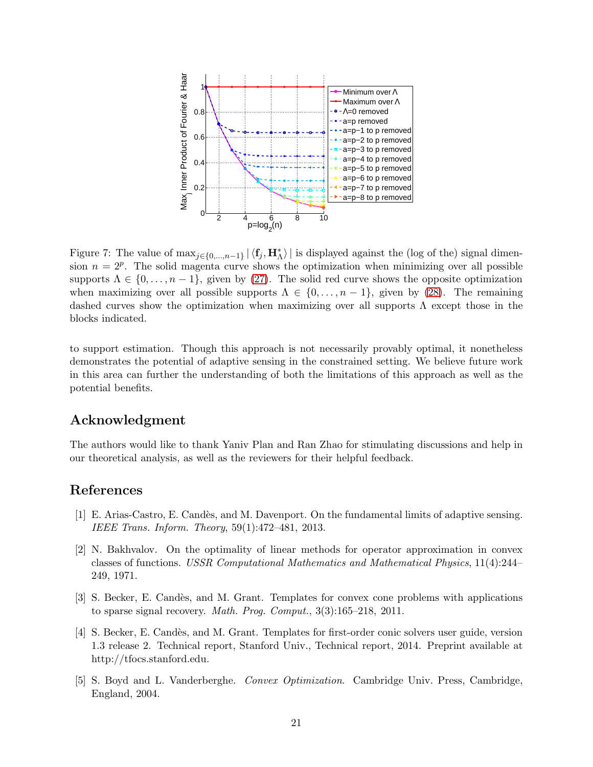

<span id="page-21-5"></span>Figure 7: The value of  $\max_{j \in \{0, ..., n-1\}} |\langle f_j, H_{\Lambda}^* \rangle|$  is displayed against the (log of the) signal dimension  $n = 2^p$ . The solid magenta curve shows the optimization when minimizing over all possible supports  $\Lambda \in \{0, \ldots, n-1\}$ , given by [\(27\)](#page-19-2). The solid red curve shows the opposite optimization when maximizing over all possible supports  $\Lambda \in \{0, \ldots, n-1\}$ , given by [\(28\)](#page-19-3). The remaining dashed curves show the optimization when maximizing over all supports  $\Lambda$  except those in the blocks indicated.

to support estimation. Though this approach is not necessarily provably optimal, it nonetheless demonstrates the potential of adaptive sensing in the constrained setting. We believe future work in this area can further the understanding of both the limitations of this approach as well as the potential benefits.

## Acknowledgment

The authors would like to thank Yaniv Plan and Ran Zhao for stimulating discussions and help in our theoretical analysis, as well as the reviewers for their helpful feedback.

## <span id="page-21-0"></span>References

- [1] E. Arias-Castro, E. Cand`es, and M. Davenport. On the fundamental limits of adaptive sensing. *IEEE Trans. Inform. Theory*, 59(1):472–481, 2013.
- <span id="page-21-1"></span>[2] N. Bakhvalov. On the optimality of linear methods for operator approximation in convex classes of functions. *USSR Computational Mathematics and Mathematical Physics*, 11(4):244– 249, 1971.
- <span id="page-21-3"></span>[3] S. Becker, E. Candès, and M. Grant. Templates for convex cone problems with applications to sparse signal recovery. *Math. Prog. Comput.*, 3(3):165–218, 2011.
- <span id="page-21-4"></span>[4] S. Becker, E. Candès, and M. Grant. Templates for first-order conic solvers user guide, version 1.3 release 2. Technical report, Stanford Univ., Technical report, 2014. Preprint available at http://tfocs.stanford.edu.
- <span id="page-21-2"></span>[5] S. Boyd and L. Vanderberghe. *Convex Optimization*. Cambridge Univ. Press, Cambridge, England, 2004.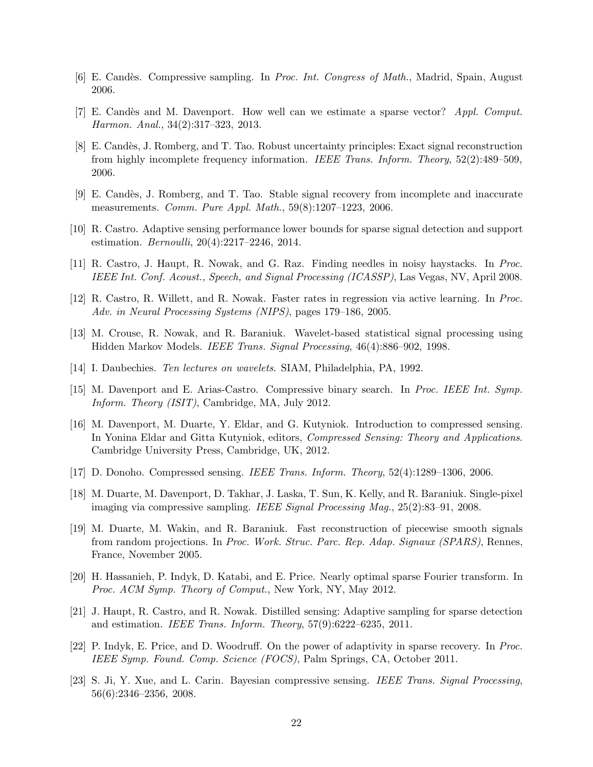- <span id="page-22-4"></span><span id="page-22-0"></span>[6] E. Cand`es. Compressive sampling. In *Proc. Int. Congress of Math.*, Madrid, Spain, August 2006.
- <span id="page-22-5"></span>[7] E. Cand`es and M. Davenport. How well can we estimate a sparse vector? *Appl. Comput. Harmon. Anal.*, 34(2):317–323, 2013.
- [8] E. Cand`es, J. Romberg, and T. Tao. Robust uncertainty principles: Exact signal reconstruction from highly incomplete frequency information. *IEEE Trans. Inform. Theory*, 52(2):489–509, 2006.
- <span id="page-22-17"></span><span id="page-22-8"></span>[9] E. Cand`es, J. Romberg, and T. Tao. Stable signal recovery from incomplete and inaccurate measurements. *Comm. Pure Appl. Math.*, 59(8):1207–1223, 2006.
- <span id="page-22-10"></span>[10] R. Castro. Adaptive sensing performance lower bounds for sparse signal detection and support estimation. *Bernoulli*, 20(4):2217–2246, 2014.
- <span id="page-22-9"></span>[11] R. Castro, J. Haupt, R. Nowak, and G. Raz. Finding needles in noisy haystacks. In *Proc. IEEE Int. Conf. Acoust., Speech, and Signal Processing (ICASSP)*, Las Vegas, NV, April 2008.
- <span id="page-22-15"></span>[12] R. Castro, R. Willett, and R. Nowak. Faster rates in regression via active learning. In *Proc. Adv. in Neural Processing Systems (NIPS)*, pages 179–186, 2005.
- <span id="page-22-14"></span>[13] M. Crouse, R. Nowak, and R. Baraniuk. Wavelet-based statistical signal processing using Hidden Markov Models. *IEEE Trans. Signal Processing*, 46(4):886–902, 1998.
- <span id="page-22-1"></span>[14] I. Daubechies. *Ten lectures on wavelets*. SIAM, Philadelphia, PA, 1992.
- <span id="page-22-6"></span>[15] M. Davenport and E. Arias-Castro. Compressive binary search. In *Proc. IEEE Int. Symp. Inform. Theory (ISIT)*, Cambridge, MA, July 2012.
- [16] M. Davenport, M. Duarte, Y. Eldar, and G. Kutyniok. Introduction to compressed sensing. In Yonina Eldar and Gitta Kutyniok, editors, *Compressed Sensing: Theory and Applications*. Cambridge University Press, Cambridge, UK, 2012.
- <span id="page-22-12"></span><span id="page-22-7"></span>[17] D. Donoho. Compressed sensing. *IEEE Trans. Inform. Theory*, 52(4):1289–1306, 2006.
- [18] M. Duarte, M. Davenport, D. Takhar, J. Laska, T. Sun, K. Kelly, and R. Baraniuk. Single-pixel imaging via compressive sampling. *IEEE Signal Processing Mag.*, 25(2):83–91, 2008.
- <span id="page-22-16"></span>[19] M. Duarte, M. Wakin, and R. Baraniuk. Fast reconstruction of piecewise smooth signals from random projections. In *Proc. Work. Struc. Parc. Rep. Adap. Signaux (SPARS)*, Rennes, France, November 2005.
- <span id="page-22-13"></span>[20] H. Hassanieh, P. Indyk, D. Katabi, and E. Price. Nearly optimal sparse Fourier transform. In *Proc. ACM Symp. Theory of Comput.*, New York, NY, May 2012.
- <span id="page-22-2"></span>[21] J. Haupt, R. Castro, and R. Nowak. Distilled sensing: Adaptive sampling for sparse detection and estimation. *IEEE Trans. Inform. Theory*, 57(9):6222–6235, 2011.
- <span id="page-22-3"></span>[22] P. Indyk, E. Price, and D. Woodruff. On the power of adaptivity in sparse recovery. In *Proc. IEEE Symp. Found. Comp. Science (FOCS)*, Palm Springs, CA, October 2011.
- <span id="page-22-11"></span>[23] S. Ji, Y. Xue, and L. Carin. Bayesian compressive sensing. *IEEE Trans. Signal Processing*, 56(6):2346–2356, 2008.